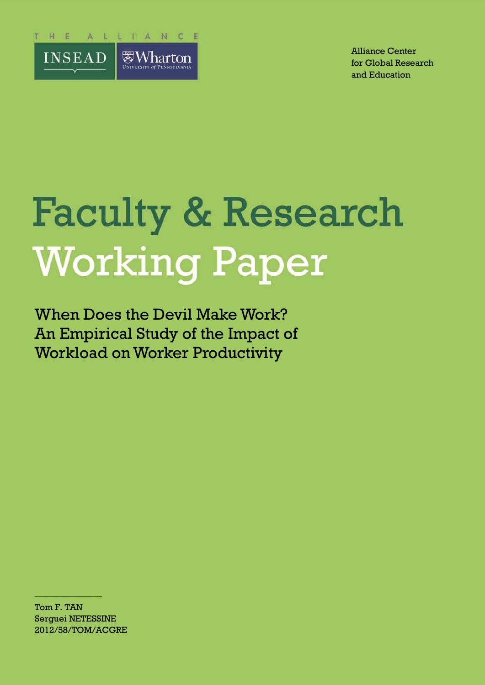

Alliance Center for Global Research and Education

# **Faculty & Research Working Paper**

When Does the Devil Make Work? An Empirical Study of the Impact of Workload on Worker Productivity

Tom F. TAN Serguei NETESSINE 2012/58/TOM/ACGRE

 $\frac{1}{2}$  , where  $\frac{1}{2}$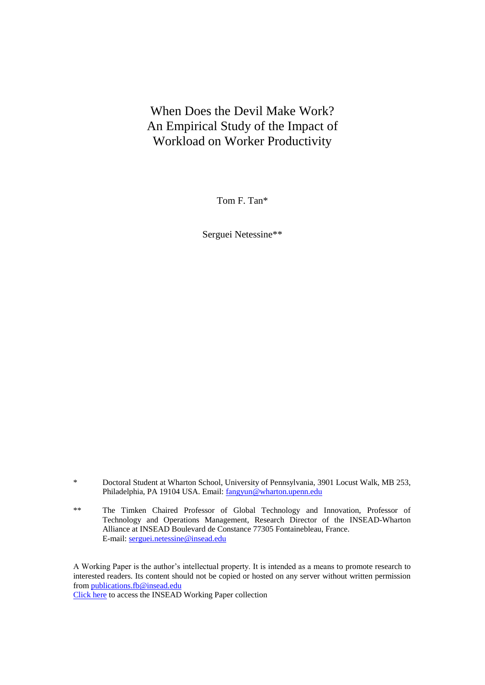# When Does the Devil Make Work? An Empirical Study of the Impact of Workload on Worker Productivity

Tom F. Tan\*

Serguei Netessine\*\*

- \* Doctoral Student at Wharton School, University of Pennsylvania, 3901 Locust Walk, MB 253, Philadelphia, PA 19104 USA. Email: fangyun@wharton.upenn.edu
- \*\* The Timken Chaired Professor of Global Technology and Innovation, Professor of Technology and Operations Management, Research Director of the INSEAD-Wharton Alliance at INSEAD Boulevard de Constance 77305 Fontainebleau, France. E-mail: serguei.netessine@insead.edu

A Working Paper is the author's intellectual property. It is intended as a means to promote research to interested readers. Its content should not be copied or hosted on any server without written permission from publications.fb@insead.edu

Click here to access the INSEAD Working Paper collection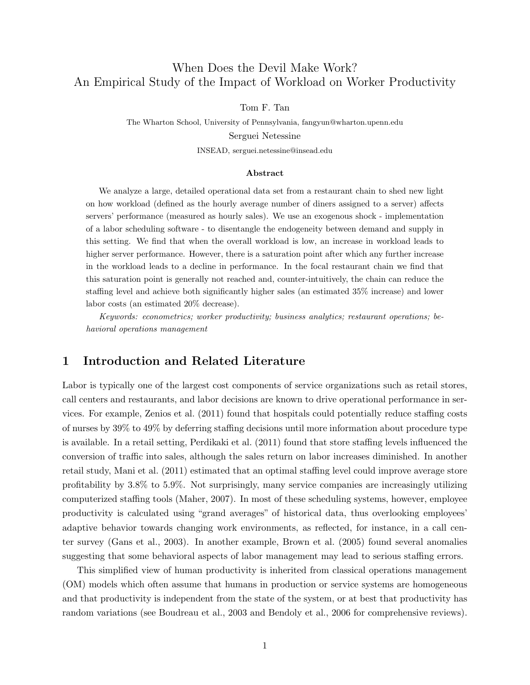# When Does the Devil Make Work? An Empirical Study of the Impact of Workload on Worker Productivity

Tom F. Tan

The Wharton School, University of Pennsylvania, fangyun@wharton.upenn.edu Serguei Netessine INSEAD, serguei.netessine@insead.edu

#### Abstract

We analyze a large, detailed operational data set from a restaurant chain to shed new light on how workload (defined as the hourly average number of diners assigned to a server) affects servers' performance (measured as hourly sales). We use an exogenous shock - implementation of a labor scheduling software - to disentangle the endogeneity between demand and supply in this setting. We find that when the overall workload is low, an increase in workload leads to higher server performance. However, there is a saturation point after which any further increase in the workload leads to a decline in performance. In the focal restaurant chain we find that this saturation point is generally not reached and, counter-intuitively, the chain can reduce the staffing level and achieve both significantly higher sales (an estimated 35% increase) and lower labor costs (an estimated 20% decrease).

Keywords: econometrics; worker productivity; business analytics; restaurant operations; behavioral operations management

## 1 Introduction and Related Literature

Labor is typically one of the largest cost components of service organizations such as retail stores, call centers and restaurants, and labor decisions are known to drive operational performance in services. For example, Zenios et al. (2011) found that hospitals could potentially reduce staffing costs of nurses by 39% to 49% by deferring staffing decisions until more information about procedure type is available. In a retail setting, Perdikaki et al. (2011) found that store staffing levels influenced the conversion of traffic into sales, although the sales return on labor increases diminished. In another retail study, Mani et al. (2011) estimated that an optimal staffing level could improve average store profitability by 3.8% to 5.9%. Not surprisingly, many service companies are increasingly utilizing computerized staffing tools (Maher, 2007). In most of these scheduling systems, however, employee productivity is calculated using "grand averages" of historical data, thus overlooking employees' adaptive behavior towards changing work environments, as reflected, for instance, in a call center survey (Gans et al., 2003). In another example, Brown et al. (2005) found several anomalies suggesting that some behavioral aspects of labor management may lead to serious staffing errors.

This simplified view of human productivity is inherited from classical operations management (OM) models which often assume that humans in production or service systems are homogeneous and that productivity is independent from the state of the system, or at best that productivity has random variations (see Boudreau et al., 2003 and Bendoly et al., 2006 for comprehensive reviews).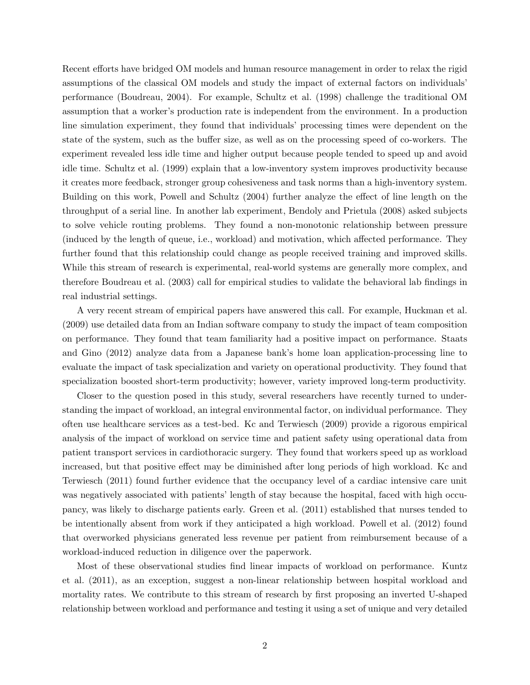Recent efforts have bridged OM models and human resource management in order to relax the rigid assumptions of the classical OM models and study the impact of external factors on individuals' performance (Boudreau, 2004). For example, Schultz et al. (1998) challenge the traditional OM assumption that a worker's production rate is independent from the environment. In a production line simulation experiment, they found that individuals' processing times were dependent on the state of the system, such as the buffer size, as well as on the processing speed of co-workers. The experiment revealed less idle time and higher output because people tended to speed up and avoid idle time. Schultz et al. (1999) explain that a low-inventory system improves productivity because it creates more feedback, stronger group cohesiveness and task norms than a high-inventory system. Building on this work, Powell and Schultz (2004) further analyze the effect of line length on the throughput of a serial line. In another lab experiment, Bendoly and Prietula (2008) asked subjects to solve vehicle routing problems. They found a non-monotonic relationship between pressure (induced by the length of queue, i.e., workload) and motivation, which affected performance. They further found that this relationship could change as people received training and improved skills. While this stream of research is experimental, real-world systems are generally more complex, and therefore Boudreau et al. (2003) call for empirical studies to validate the behavioral lab findings in real industrial settings.

A very recent stream of empirical papers have answered this call. For example, Huckman et al. (2009) use detailed data from an Indian software company to study the impact of team composition on performance. They found that team familiarity had a positive impact on performance. Staats and Gino (2012) analyze data from a Japanese bank's home loan application-processing line to evaluate the impact of task specialization and variety on operational productivity. They found that specialization boosted short-term productivity; however, variety improved long-term productivity.

Closer to the question posed in this study, several researchers have recently turned to understanding the impact of workload, an integral environmental factor, on individual performance. They often use healthcare services as a test-bed. Kc and Terwiesch (2009) provide a rigorous empirical analysis of the impact of workload on service time and patient safety using operational data from patient transport services in cardiothoracic surgery. They found that workers speed up as workload increased, but that positive effect may be diminished after long periods of high workload. Kc and Terwiesch (2011) found further evidence that the occupancy level of a cardiac intensive care unit was negatively associated with patients' length of stay because the hospital, faced with high occupancy, was likely to discharge patients early. Green et al. (2011) established that nurses tended to be intentionally absent from work if they anticipated a high workload. Powell et al. (2012) found that overworked physicians generated less revenue per patient from reimbursement because of a workload-induced reduction in diligence over the paperwork.

Most of these observational studies find linear impacts of workload on performance. Kuntz et al. (2011), as an exception, suggest a non-linear relationship between hospital workload and mortality rates. We contribute to this stream of research by first proposing an inverted U-shaped relationship between workload and performance and testing it using a set of unique and very detailed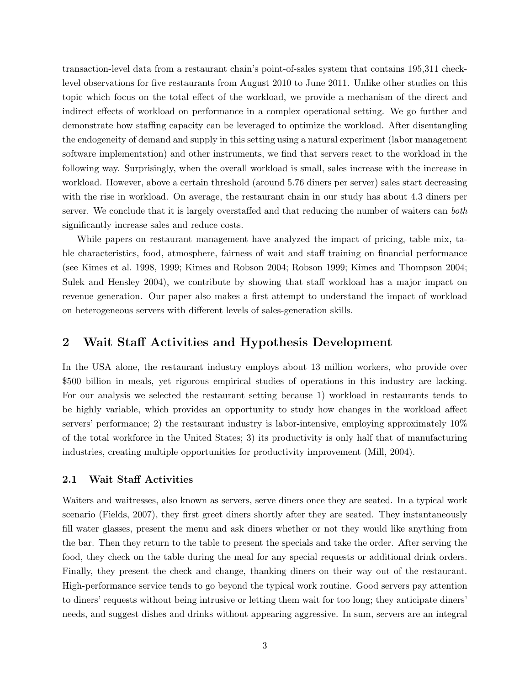transaction-level data from a restaurant chain's point-of-sales system that contains 195,311 checklevel observations for five restaurants from August 2010 to June 2011. Unlike other studies on this topic which focus on the total effect of the workload, we provide a mechanism of the direct and indirect effects of workload on performance in a complex operational setting. We go further and demonstrate how staffing capacity can be leveraged to optimize the workload. After disentangling the endogeneity of demand and supply in this setting using a natural experiment (labor management software implementation) and other instruments, we find that servers react to the workload in the following way. Surprisingly, when the overall workload is small, sales increase with the increase in workload. However, above a certain threshold (around 5.76 diners per server) sales start decreasing with the rise in workload. On average, the restaurant chain in our study has about 4.3 diners per server. We conclude that it is largely overstaffed and that reducing the number of waiters can both significantly increase sales and reduce costs.

While papers on restaurant management have analyzed the impact of pricing, table mix, table characteristics, food, atmosphere, fairness of wait and staff training on financial performance (see Kimes et al. 1998, 1999; Kimes and Robson 2004; Robson 1999; Kimes and Thompson 2004; Sulek and Hensley 2004), we contribute by showing that staff workload has a major impact on revenue generation. Our paper also makes a first attempt to understand the impact of workload on heterogeneous servers with different levels of sales-generation skills.

## 2 Wait Staff Activities and Hypothesis Development

In the USA alone, the restaurant industry employs about 13 million workers, who provide over \$500 billion in meals, yet rigorous empirical studies of operations in this industry are lacking. For our analysis we selected the restaurant setting because 1) workload in restaurants tends to be highly variable, which provides an opportunity to study how changes in the workload affect servers' performance; 2) the restaurant industry is labor-intensive, employing approximately 10% of the total workforce in the United States; 3) its productivity is only half that of manufacturing industries, creating multiple opportunities for productivity improvement (Mill, 2004).

#### 2.1 Wait Staff Activities

Waiters and waitresses, also known as servers, serve diners once they are seated. In a typical work scenario (Fields, 2007), they first greet diners shortly after they are seated. They instantaneously fill water glasses, present the menu and ask diners whether or not they would like anything from the bar. Then they return to the table to present the specials and take the order. After serving the food, they check on the table during the meal for any special requests or additional drink orders. Finally, they present the check and change, thanking diners on their way out of the restaurant. High-performance service tends to go beyond the typical work routine. Good servers pay attention to diners' requests without being intrusive or letting them wait for too long; they anticipate diners' needs, and suggest dishes and drinks without appearing aggressive. In sum, servers are an integral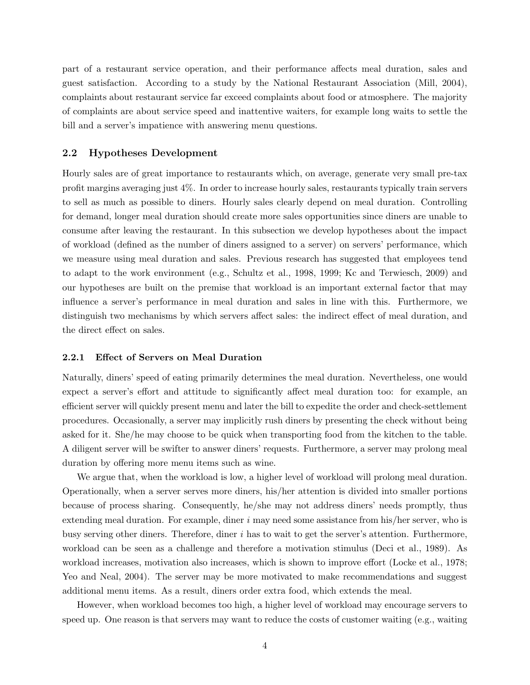part of a restaurant service operation, and their performance affects meal duration, sales and guest satisfaction. According to a study by the National Restaurant Association (Mill, 2004), complaints about restaurant service far exceed complaints about food or atmosphere. The majority of complaints are about service speed and inattentive waiters, for example long waits to settle the bill and a server's impatience with answering menu questions.

#### 2.2 Hypotheses Development

Hourly sales are of great importance to restaurants which, on average, generate very small pre-tax profit margins averaging just 4%. In order to increase hourly sales, restaurants typically train servers to sell as much as possible to diners. Hourly sales clearly depend on meal duration. Controlling for demand, longer meal duration should create more sales opportunities since diners are unable to consume after leaving the restaurant. In this subsection we develop hypotheses about the impact of workload (defined as the number of diners assigned to a server) on servers' performance, which we measure using meal duration and sales. Previous research has suggested that employees tend to adapt to the work environment (e.g., Schultz et al., 1998, 1999; Kc and Terwiesch, 2009) and our hypotheses are built on the premise that workload is an important external factor that may influence a server's performance in meal duration and sales in line with this. Furthermore, we distinguish two mechanisms by which servers affect sales: the indirect effect of meal duration, and the direct effect on sales.

#### 2.2.1 Effect of Servers on Meal Duration

Naturally, diners' speed of eating primarily determines the meal duration. Nevertheless, one would expect a server's effort and attitude to significantly affect meal duration too: for example, an efficient server will quickly present menu and later the bill to expedite the order and check-settlement procedures. Occasionally, a server may implicitly rush diners by presenting the check without being asked for it. She/he may choose to be quick when transporting food from the kitchen to the table. A diligent server will be swifter to answer diners' requests. Furthermore, a server may prolong meal duration by offering more menu items such as wine.

We argue that, when the workload is low, a higher level of workload will prolong meal duration. Operationally, when a server serves more diners, his/her attention is divided into smaller portions because of process sharing. Consequently, he/she may not address diners' needs promptly, thus extending meal duration. For example, diner  $i$  may need some assistance from his/her server, who is busy serving other diners. Therefore, diner  $i$  has to wait to get the server's attention. Furthermore, workload can be seen as a challenge and therefore a motivation stimulus (Deci et al., 1989). As workload increases, motivation also increases, which is shown to improve effort (Locke et al., 1978; Yeo and Neal, 2004). The server may be more motivated to make recommendations and suggest additional menu items. As a result, diners order extra food, which extends the meal.

However, when workload becomes too high, a higher level of workload may encourage servers to speed up. One reason is that servers may want to reduce the costs of customer waiting (e.g., waiting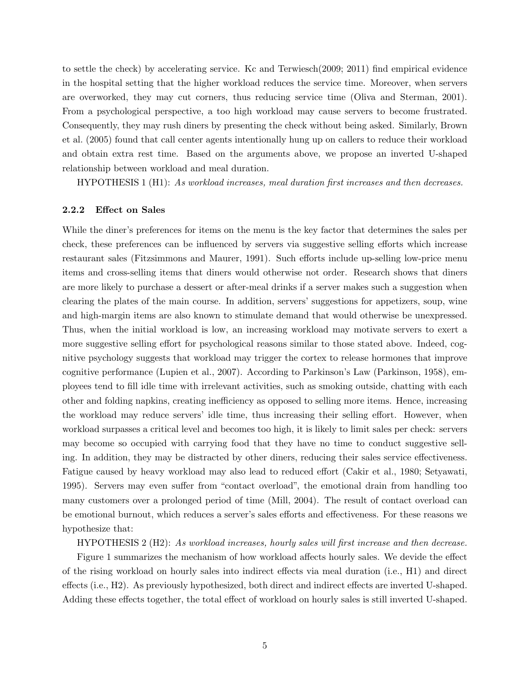to settle the check) by accelerating service. Kc and Terwiesch(2009; 2011) find empirical evidence in the hospital setting that the higher workload reduces the service time. Moreover, when servers are overworked, they may cut corners, thus reducing service time (Oliva and Sterman, 2001). From a psychological perspective, a too high workload may cause servers to become frustrated. Consequently, they may rush diners by presenting the check without being asked. Similarly, Brown et al. (2005) found that call center agents intentionally hung up on callers to reduce their workload and obtain extra rest time. Based on the arguments above, we propose an inverted U-shaped relationship between workload and meal duration.

HYPOTHESIS 1 (H1): As workload increases, meal duration first increases and then decreases.

#### 2.2.2 Effect on Sales

While the diner's preferences for items on the menu is the key factor that determines the sales per check, these preferences can be influenced by servers via suggestive selling efforts which increase restaurant sales (Fitzsimmons and Maurer, 1991). Such efforts include up-selling low-price menu items and cross-selling items that diners would otherwise not order. Research shows that diners are more likely to purchase a dessert or after-meal drinks if a server makes such a suggestion when clearing the plates of the main course. In addition, servers' suggestions for appetizers, soup, wine and high-margin items are also known to stimulate demand that would otherwise be unexpressed. Thus, when the initial workload is low, an increasing workload may motivate servers to exert a more suggestive selling effort for psychological reasons similar to those stated above. Indeed, cognitive psychology suggests that workload may trigger the cortex to release hormones that improve cognitive performance (Lupien et al., 2007). According to Parkinson's Law (Parkinson, 1958), employees tend to fill idle time with irrelevant activities, such as smoking outside, chatting with each other and folding napkins, creating inefficiency as opposed to selling more items. Hence, increasing the workload may reduce servers' idle time, thus increasing their selling effort. However, when workload surpasses a critical level and becomes too high, it is likely to limit sales per check: servers may become so occupied with carrying food that they have no time to conduct suggestive selling. In addition, they may be distracted by other diners, reducing their sales service effectiveness. Fatigue caused by heavy workload may also lead to reduced effort (Cakir et al., 1980; Setyawati, 1995). Servers may even suffer from "contact overload", the emotional drain from handling too many customers over a prolonged period of time (Mill, 2004). The result of contact overload can be emotional burnout, which reduces a server's sales efforts and effectiveness. For these reasons we hypothesize that:

HYPOTHESIS 2 (H2): As workload increases, hourly sales will first increase and then decrease.

Figure 1 summarizes the mechanism of how workload affects hourly sales. We devide the effect of the rising workload on hourly sales into indirect effects via meal duration (i.e., H1) and direct effects (i.e., H2). As previously hypothesized, both direct and indirect effects are inverted U-shaped. Adding these effects together, the total effect of workload on hourly sales is still inverted U-shaped.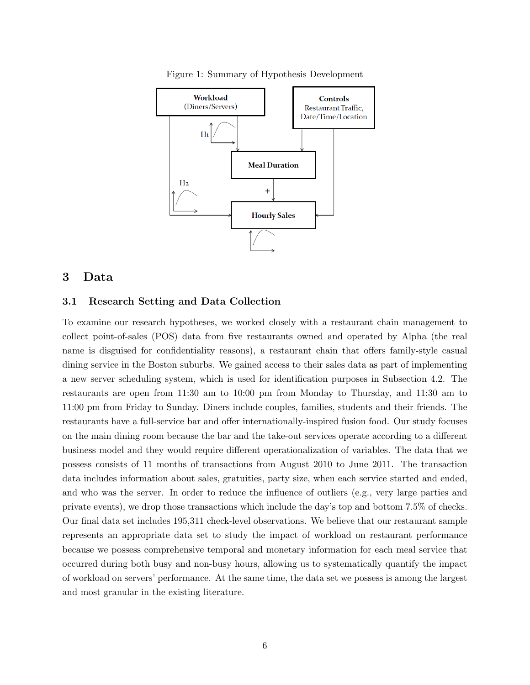

Figure 1: Summary of Hypothesis Development

## 3 Data

#### 3.1 Research Setting and Data Collection

To examine our research hypotheses, we worked closely with a restaurant chain management to collect point-of-sales (POS) data from five restaurants owned and operated by Alpha (the real name is disguised for confidentiality reasons), a restaurant chain that offers family-style casual dining service in the Boston suburbs. We gained access to their sales data as part of implementing a new server scheduling system, which is used for identification purposes in Subsection 4.2. The restaurants are open from 11:30 am to 10:00 pm from Monday to Thursday, and 11:30 am to 11:00 pm from Friday to Sunday. Diners include couples, families, students and their friends. The restaurants have a full-service bar and offer internationally-inspired fusion food. Our study focuses on the main dining room because the bar and the take-out services operate according to a different business model and they would require different operationalization of variables. The data that we possess consists of 11 months of transactions from August 2010 to June 2011. The transaction data includes information about sales, gratuities, party size, when each service started and ended, and who was the server. In order to reduce the influence of outliers (e.g., very large parties and private events), we drop those transactions which include the day's top and bottom 7.5% of checks. Our final data set includes 195,311 check-level observations. We believe that our restaurant sample represents an appropriate data set to study the impact of workload on restaurant performance because we possess comprehensive temporal and monetary information for each meal service that occurred during both busy and non-busy hours, allowing us to systematically quantify the impact of workload on servers' performance. At the same time, the data set we possess is among the largest and most granular in the existing literature.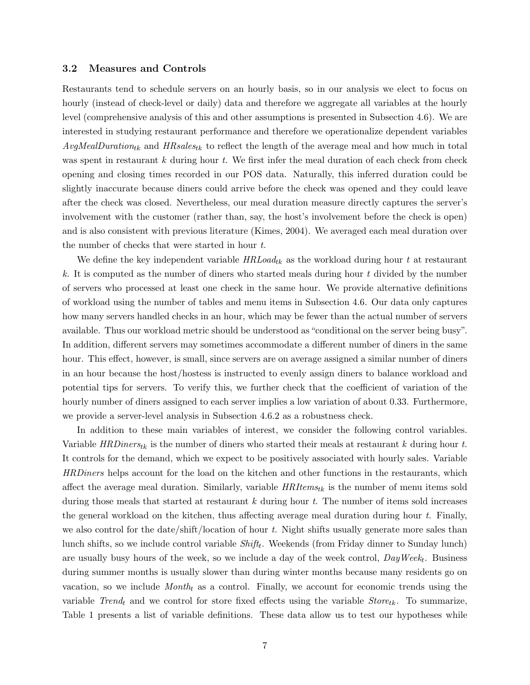#### 3.2 Measures and Controls

Restaurants tend to schedule servers on an hourly basis, so in our analysis we elect to focus on hourly (instead of check-level or daily) data and therefore we aggregate all variables at the hourly level (comprehensive analysis of this and other assumptions is presented in Subsection 4.6). We are interested in studying restaurant performance and therefore we operationalize dependent variables  $AvgMealDuration_{tk}$  and  $HR sales_{tk}$  to reflect the length of the average meal and how much in total was spent in restaurant  $k$  during hour  $t$ . We first infer the meal duration of each check from check opening and closing times recorded in our POS data. Naturally, this inferred duration could be slightly inaccurate because diners could arrive before the check was opened and they could leave after the check was closed. Nevertheless, our meal duration measure directly captures the server's involvement with the customer (rather than, say, the host's involvement before the check is open) and is also consistent with previous literature (Kimes, 2004). We averaged each meal duration over the number of checks that were started in hour t.

We define the key independent variable  $HRLoad_{tk}$  as the workload during hour t at restaurant  $k.$  It is computed as the number of diners who started meals during hour t divided by the number of servers who processed at least one check in the same hour. We provide alternative definitions of workload using the number of tables and menu items in Subsection 4.6. Our data only captures how many servers handled checks in an hour, which may be fewer than the actual number of servers available. Thus our workload metric should be understood as "conditional on the server being busy". In addition, different servers may sometimes accommodate a different number of diners in the same hour. This effect, however, is small, since servers are on average assigned a similar number of diners in an hour because the host/hostess is instructed to evenly assign diners to balance workload and potential tips for servers. To verify this, we further check that the coefficient of variation of the hourly number of diners assigned to each server implies a low variation of about 0.33. Furthermore, we provide a server-level analysis in Subsection 4.6.2 as a robustness check.

In addition to these main variables of interest, we consider the following control variables. Variable  $HRD$ iners<sub>tk</sub> is the number of diners who started their meals at restaurant k during hour t. It controls for the demand, which we expect to be positively associated with hourly sales. Variable HRDiners helps account for the load on the kitchen and other functions in the restaurants, which affect the average meal duration. Similarly, variable  $HRI$ tems<sub>tk</sub> is the number of menu items sold during those meals that started at restaurant  $k$  during hour  $t$ . The number of items sold increases the general workload on the kitchen, thus affecting average meal duration during hour  $t$ . Finally, we also control for the date/shift/location of hour t. Night shifts usually generate more sales than lunch shifts, so we include control variable  $Shift_t$ . Weekends (from Friday dinner to Sunday lunch) are usually busy hours of the week, so we include a day of the week control,  $DayWeek_t$ . Business during summer months is usually slower than during winter months because many residents go on vacation, so we include  $Month_t$  as a control. Finally, we account for economic trends using the variable Trend<sub>t</sub> and we control for store fixed effects using the variable  $Store_{tk}$ . To summarize, Table 1 presents a list of variable definitions. These data allow us to test our hypotheses while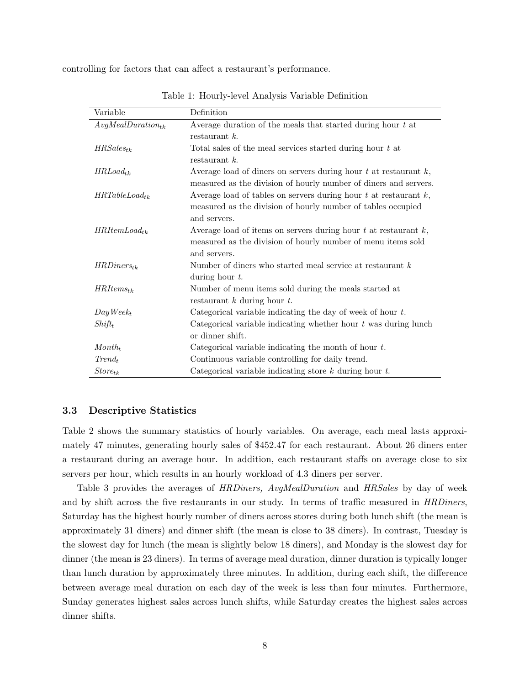controlling for factors that can affect a restaurant's performance.

| Variable                         | Definition                                                            |
|----------------------------------|-----------------------------------------------------------------------|
| $AvgMealDuration_{tk}$           | Average duration of the meals that started during hour $t$ at         |
|                                  | restaurant $k$ .                                                      |
| $HR Sales_{tk}$                  | Total sales of the meal services started during hour $t$ at           |
|                                  | restaurant $k$ .                                                      |
| $HRLoad_{tk}$                    | Average load of diners on servers during hour $t$ at restaurant $k$ , |
|                                  | measured as the division of hourly number of diners and servers.      |
| $HRTableLoad_{tk}$               | Average load of tables on servers during hour $t$ at restaurant $k$ , |
|                                  | measured as the division of hourly number of tables occupied          |
|                                  | and servers.                                                          |
| $HRItemLoad_{tk}$                | Average load of items on servers during hour $t$ at restaurant $k$ ,  |
|                                  | measured as the division of hourly number of menu items sold          |
|                                  | and servers.                                                          |
| $HRD$ <i>iners</i> <sub>tk</sub> | Number of diners who started meal service at restaurant $k$           |
|                                  | during hour $t$ .                                                     |
| $HRItems_{tk}$                   | Number of menu items sold during the meals started at                 |
|                                  | restaurant $k$ during hour $t$ .                                      |
| $Day Week_t$                     | Categorical variable indicating the day of week of hour $t$ .         |
| $Shift_t$                        | Categorical variable indicating whether hour $t$ was during lunch     |
|                                  | or dinner shift.                                                      |
| $Month_t$                        | Categorical variable indicating the month of hour $t$ .               |
| $Trend_t$                        | Continuous variable controlling for daily trend.                      |
| $Store_{tk}$                     | Categorical variable indicating store $k$ during hour $t$ .           |

Table 1: Hourly-level Analysis Variable Definition

#### 3.3 Descriptive Statistics

Table 2 shows the summary statistics of hourly variables. On average, each meal lasts approximately 47 minutes, generating hourly sales of \$452.47 for each restaurant. About 26 diners enter a restaurant during an average hour. In addition, each restaurant staffs on average close to six servers per hour, which results in an hourly workload of 4.3 diners per server.

Table 3 provides the averages of HRDiners, AvgMealDuration and HRSales by day of week and by shift across the five restaurants in our study. In terms of traffic measured in *HRDiners*, Saturday has the highest hourly number of diners across stores during both lunch shift (the mean is approximately 31 diners) and dinner shift (the mean is close to 38 diners). In contrast, Tuesday is the slowest day for lunch (the mean is slightly below 18 diners), and Monday is the slowest day for dinner (the mean is 23 diners). In terms of average meal duration, dinner duration is typically longer than lunch duration by approximately three minutes. In addition, during each shift, the difference between average meal duration on each day of the week is less than four minutes. Furthermore, Sunday generates highest sales across lunch shifts, while Saturday creates the highest sales across dinner shifts.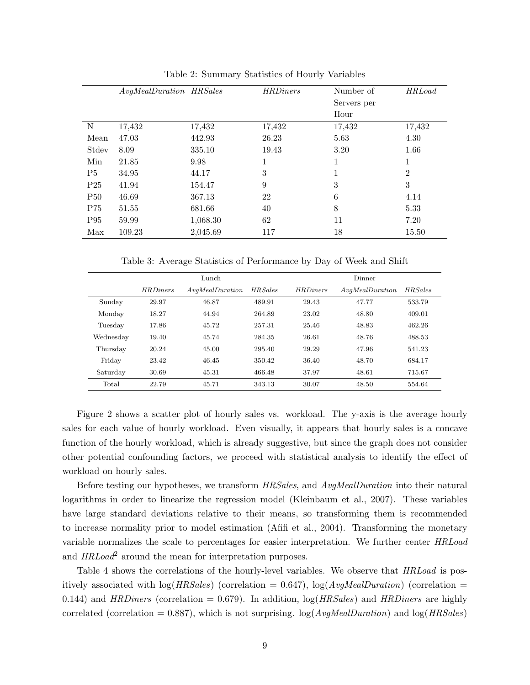|                 | AvgMealDuration HRSales |          | <b>HRDiners</b> | Number of   | <b>HRLoad</b>  |
|-----------------|-------------------------|----------|-----------------|-------------|----------------|
|                 |                         |          |                 | Servers per |                |
|                 |                         |          |                 | Hour        |                |
| N               | 17,432                  | 17,432   | 17,432          | 17,432      | 17,432         |
| Mean            | 47.03                   | 442.93   | 26.23           | 5.63        | 4.30           |
| Stdev           | 8.09                    | 335.10   | 19.43           | 3.20        | 1.66           |
| Min             | 21.85                   | 9.98     |                 | 1           | 1              |
| P <sub>5</sub>  | 34.95                   | 44.17    | 3               | 1           | $\overline{2}$ |
| P <sub>25</sub> | 41.94                   | 154.47   | 9               | 3           | 3              |
| <b>P50</b>      | 46.69                   | 367.13   | 22              | 6           | 4.14           |
| P75             | 51.55                   | 681.66   | 40              | 8           | 5.33           |
| P <sub>95</sub> | 59.99                   | 1,068.30 | 62              | 11          | 7.20           |
| Max             | 109.23                  | 2,045.69 | 117             | 18          | 15.50          |

Table 2: Summary Statistics of Hourly Variables

Table 3: Average Statistics of Performance by Day of Week and Shift

|           | Lunch           |                |                | Dinner          |                |                |  |
|-----------|-----------------|----------------|----------------|-----------------|----------------|----------------|--|
|           | <b>HRDiners</b> | AvqMelDuration | <b>HRSales</b> | <b>HRDiners</b> | AvqMelDuration | <b>HRSales</b> |  |
| Sunday    | 29.97           | 46.87          | 489.91         | 29.43           | 47.77          | 533.79         |  |
| Monday    | 18.27           | 44.94          | 264.89         | 23.02           | 48.80          | 409.01         |  |
| Tuesday   | 17.86           | 45.72          | 257.31         | 25.46           | 48.83          | 462.26         |  |
| Wednesday | 19.40           | 45.74          | 284.35         | 26.61           | 48.76          | 488.53         |  |
| Thursday  | 20.24           | 45.00          | 295.40         | 29.29           | 47.96          | 541.23         |  |
| Friday    | 23.42           | 46.45          | 350.42         | 36.40           | 48.70          | 684.17         |  |
| Saturday  | 30.69           | 45.31          | 466.48         | 37.97           | 48.61          | 715.67         |  |
| Total     | 22.79           | 45.71          | 343.13         | 30.07           | 48.50          | 554.64         |  |

Figure 2 shows a scatter plot of hourly sales vs. workload. The y-axis is the average hourly sales for each value of hourly workload. Even visually, it appears that hourly sales is a concave function of the hourly workload, which is already suggestive, but since the graph does not consider other potential confounding factors, we proceed with statistical analysis to identify the effect of workload on hourly sales.

Before testing our hypotheses, we transform HRSales, and AvgMealDuration into their natural logarithms in order to linearize the regression model (Kleinbaum et al., 2007). These variables have large standard deviations relative to their means, so transforming them is recommended to increase normality prior to model estimation (Afifi et al., 2004). Transforming the monetary variable normalizes the scale to percentages for easier interpretation. We further center HRLoad and  $HRLoad^2$  around the mean for interpretation purposes.

Table 4 shows the correlations of the hourly-level variables. We observe that  $HRLoad$  is positively associated with  $log(HRSales)$  (correlation = 0.647),  $log(AvgMealDuration)$  (correlation = 0.144) and HRDiners (correlation = 0.679). In addition,  $log(HRSales)$  and HRDiners are highly correlated (correlation = 0.887), which is not surprising.  $log(AvgMedian)$  and  $log(HRSales)$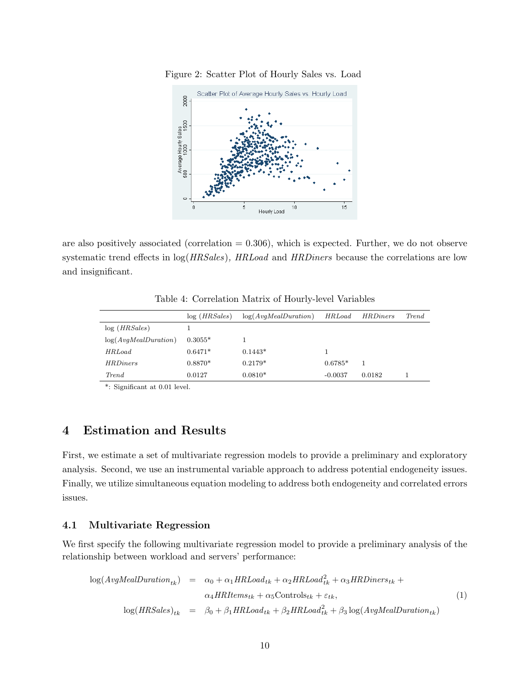

Figure 2: Scatter Plot of Hourly Sales vs. Load

are also positively associated (correlation  $= 0.306$ ), which is expected. Further, we do not observe systematic trend effects in  $log(HRSales)$ ,  $HRLoad$  and  $HRDiners$  because the correlations are low and insignificant.

|                      | log(HRSales) | log(AvqMealDuration) | HRLoad    | <i>HRDiners</i> | Trend |
|----------------------|--------------|----------------------|-----------|-----------------|-------|
| log(HRSales)         |              |                      |           |                 |       |
| log(AvqMealDuration) | $0.3055*$    |                      |           |                 |       |
| <b>HRLoad</b>        | $0.6471*$    | $0.1443*$            |           |                 |       |
| <i>HRDiners</i>      | $0.8870*$    | $0.2179*$            | $0.6785*$ |                 |       |
| <i>Trend</i>         | 0.0127       | $0.0810*$            | $-0.0037$ | 0.0182          |       |

Table 4: Correlation Matrix of Hourly-level Variables

\*: Significant at 0.01 level.

# 4 Estimation and Results

First, we estimate a set of multivariate regression models to provide a preliminary and exploratory analysis. Second, we use an instrumental variable approach to address potential endogeneity issues. Finally, we utilize simultaneous equation modeling to address both endogeneity and correlated errors issues.

#### 4.1 Multivariate Regression

We first specify the following multivariate regression model to provide a preliminary analysis of the relationship between workload and servers' performance:

$$
\log(AvgMedian_{tk}) = \alpha_0 + \alpha_1 HRLoad_{tk} + \alpha_2 HRLoad_{tk}^2 + \alpha_3 HRD iners_{tk} +
$$
  
\n
$$
\alpha_4 HRI terms_{tk} + \alpha_5 \text{Controls}_{tk} + \varepsilon_{tk},
$$
  
\n
$$
\log(HRSales)_{tk} = \beta_0 + \beta_1 HRLoad_{tk} + \beta_2 HRLoad_{tk}^2 + \beta_3 \log(AvgMeanDuration_{tk})
$$
\n(1)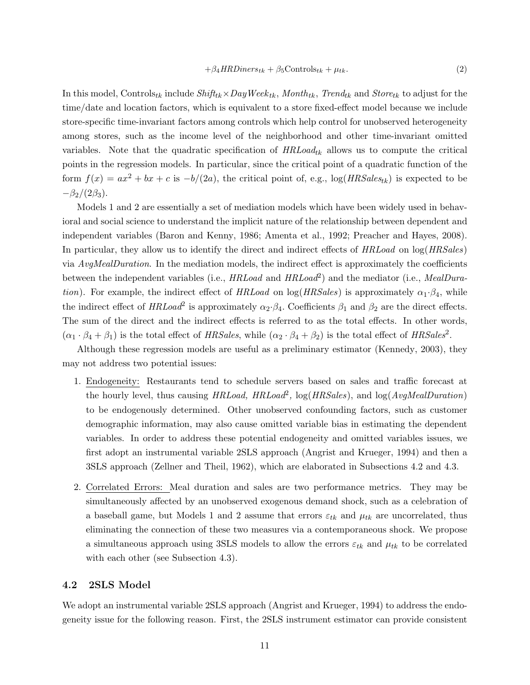$$
+\beta_4 HRD iners_{tk} + \beta_5 \text{Controls}_{tk} + \mu_{tk}.
$$
\n(2)

In this model, Controls<sub>tk</sub> include  $Shift_{tk} \times DayWeek_{tk}$ , Month<sub>tk</sub>, Trend<sub>tk</sub> and Store<sub>tk</sub> to adjust for the time/date and location factors, which is equivalent to a store fixed-effect model because we include store-specific time-invariant factors among controls which help control for unobserved heterogeneity among stores, such as the income level of the neighborhood and other time-invariant omitted variables. Note that the quadratic specification of  $HRLoad_{tk}$  allows us to compute the critical points in the regression models. In particular, since the critical point of a quadratic function of the form  $f(x) = ax^2 + bx + c$  is  $-b/(2a)$ , the critical point of, e.g.,  $\log(HRSales_{tk})$  is expected to be  $-\beta_2/(2\beta_3)$ .

Models 1 and 2 are essentially a set of mediation models which have been widely used in behavioral and social science to understand the implicit nature of the relationship between dependent and independent variables (Baron and Kenny, 1986; Amenta et al., 1992; Preacher and Hayes, 2008). In particular, they allow us to identify the direct and indirect effects of HRLoad on  $log(HRSales)$ via AvgMealDuration. In the mediation models, the indirect effect is approximately the coefficients between the independent variables (i.e.,  $HRLoad$  and  $HRLoad^2$ ) and the mediator (i.e.,  $MeanDura$ tion). For example, the indirect effect of HRLoad on log(HRSales) is approximately  $\alpha_1 \cdot \beta_4$ , while the indirect effect of  $HRLoad^2$  is approximately  $\alpha_2 \cdot \beta_4$ . Coefficients  $\beta_1$  and  $\beta_2$  are the direct effects. The sum of the direct and the indirect effects is referred to as the total effects. In other words,  $(\alpha_1 \cdot \beta_4 + \beta_1)$  is the total effect of HRSales, while  $(\alpha_2 \cdot \beta_4 + \beta_2)$  is the total effect of HRSales<sup>2</sup>.

Although these regression models are useful as a preliminary estimator (Kennedy, 2003), they may not address two potential issues:

- 1. Endogeneity: Restaurants tend to schedule servers based on sales and traffic forecast at the hourly level, thus causing  $HRLoad$ ,  $HRLoad<sup>2</sup>$ ,  $log(HRSales)$ , and  $log(AvgMealDuration)$ to be endogenously determined. Other unobserved confounding factors, such as customer demographic information, may also cause omitted variable bias in estimating the dependent variables. In order to address these potential endogeneity and omitted variables issues, we first adopt an instrumental variable 2SLS approach (Angrist and Krueger, 1994) and then a 3SLS approach (Zellner and Theil, 1962), which are elaborated in Subsections 4.2 and 4.3.
- 2. Correlated Errors: Meal duration and sales are two performance metrics. They may be simultaneously affected by an unobserved exogenous demand shock, such as a celebration of a baseball game, but Models 1 and 2 assume that errors  $\varepsilon_{tk}$  and  $\mu_{tk}$  are uncorrelated, thus eliminating the connection of these two measures via a contemporaneous shock. We propose a simultaneous approach using 3SLS models to allow the errors  $\varepsilon_{tk}$  and  $\mu_{tk}$  to be correlated with each other (see Subsection 4.3).

#### 4.2 2SLS Model

We adopt an instrumental variable 2SLS approach (Angrist and Krueger, 1994) to address the endogeneity issue for the following reason. First, the 2SLS instrument estimator can provide consistent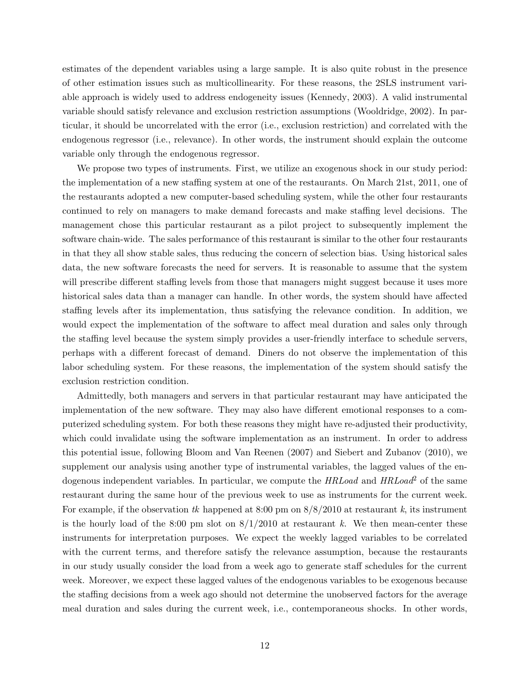estimates of the dependent variables using a large sample. It is also quite robust in the presence of other estimation issues such as multicollinearity. For these reasons, the 2SLS instrument variable approach is widely used to address endogeneity issues (Kennedy, 2003). A valid instrumental variable should satisfy relevance and exclusion restriction assumptions (Wooldridge, 2002). In particular, it should be uncorrelated with the error (i.e., exclusion restriction) and correlated with the endogenous regressor (i.e., relevance). In other words, the instrument should explain the outcome variable only through the endogenous regressor.

We propose two types of instruments. First, we utilize an exogenous shock in our study period: the implementation of a new staffing system at one of the restaurants. On March 21st, 2011, one of the restaurants adopted a new computer-based scheduling system, while the other four restaurants continued to rely on managers to make demand forecasts and make staffing level decisions. The management chose this particular restaurant as a pilot project to subsequently implement the software chain-wide. The sales performance of this restaurant is similar to the other four restaurants in that they all show stable sales, thus reducing the concern of selection bias. Using historical sales data, the new software forecasts the need for servers. It is reasonable to assume that the system will prescribe different staffing levels from those that managers might suggest because it uses more historical sales data than a manager can handle. In other words, the system should have affected staffing levels after its implementation, thus satisfying the relevance condition. In addition, we would expect the implementation of the software to affect meal duration and sales only through the staffing level because the system simply provides a user-friendly interface to schedule servers, perhaps with a different forecast of demand. Diners do not observe the implementation of this labor scheduling system. For these reasons, the implementation of the system should satisfy the exclusion restriction condition.

Admittedly, both managers and servers in that particular restaurant may have anticipated the implementation of the new software. They may also have different emotional responses to a computerized scheduling system. For both these reasons they might have re-adjusted their productivity, which could invalidate using the software implementation as an instrument. In order to address this potential issue, following Bloom and Van Reenen (2007) and Siebert and Zubanov (2010), we supplement our analysis using another type of instrumental variables, the lagged values of the endogenous independent variables. In particular, we compute the  $HRLoad$  and  $HRLoad^2$  of the same restaurant during the same hour of the previous week to use as instruments for the current week. For example, if the observation tk happened at 8:00 pm on  $8/8/2010$  at restaurant k, its instrument is the hourly load of the 8:00 pm slot on  $8/1/2010$  at restaurant k. We then mean-center these instruments for interpretation purposes. We expect the weekly lagged variables to be correlated with the current terms, and therefore satisfy the relevance assumption, because the restaurants in our study usually consider the load from a week ago to generate staff schedules for the current week. Moreover, we expect these lagged values of the endogenous variables to be exogenous because the staffing decisions from a week ago should not determine the unobserved factors for the average meal duration and sales during the current week, i.e., contemporaneous shocks. In other words,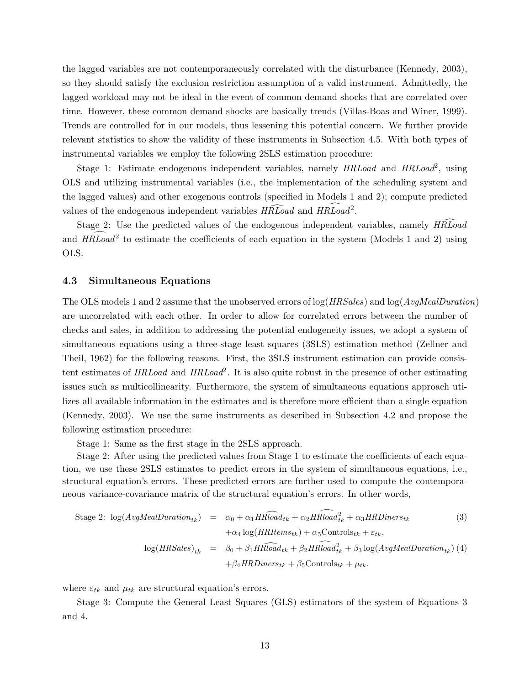the lagged variables are not contemporaneously correlated with the disturbance (Kennedy, 2003), so they should satisfy the exclusion restriction assumption of a valid instrument. Admittedly, the lagged workload may not be ideal in the event of common demand shocks that are correlated over time. However, these common demand shocks are basically trends (Villas-Boas and Winer, 1999). Trends are controlled for in our models, thus lessening this potential concern. We further provide relevant statistics to show the validity of these instruments in Subsection 4.5. With both types of instrumental variables we employ the following 2SLS estimation procedure:

Stage 1: Estimate endogenous independent variables, namely  $HRLoad$  and  $HRLoad^2$ , using OLS and utilizing instrumental variables (i.e., the implementation of the scheduling system and the lagged values) and other exogenous controls (specified in Models 1 and 2); compute predicted values of the endogenous independent variables  $H\widehat{R}\widehat{L}oad$  and  $H\widehat{R}Load^2$ .

Stage 2: Use the predicted values of the endogenous independent variables, namely  $H\widehat{R}\widehat{L}$ oad and  $HRLoad^2$  to estimate the coefficients of each equation in the system (Models 1 and 2) using OLS.

#### 4.3 Simultaneous Equations

The OLS models 1 and 2 assume that the unobserved errors of  $log(HRSales)$  and  $log(AvgMedian)$ are uncorrelated with each other. In order to allow for correlated errors between the number of checks and sales, in addition to addressing the potential endogeneity issues, we adopt a system of simultaneous equations using a three-stage least squares (3SLS) estimation method (Zellner and Theil, 1962) for the following reasons. First, the 3SLS instrument estimation can provide consistent estimates of  $HRLoad$  and  $HRLoad^2$ . It is also quite robust in the presence of other estimating issues such as multicollinearity. Furthermore, the system of simultaneous equations approach utilizes all available information in the estimates and is therefore more efficient than a single equation (Kennedy, 2003). We use the same instruments as described in Subsection 4.2 and propose the following estimation procedure:

Stage 1: Same as the first stage in the 2SLS approach.

Stage 2: After using the predicted values from Stage 1 to estimate the coefficients of each equation, we use these 2SLS estimates to predict errors in the system of simultaneous equations, i.e., structural equation's errors. These predicted errors are further used to compute the contemporaneous variance-covariance matrix of the structural equation's errors. In other words,

Stage 2: 
$$
\log(AvgMealDuration_{tk}) = \alpha_0 + \alpha_1 HRload_{tk} + \alpha_2 HRload_{tk}^2 + \alpha_3 HRDiners_{tk}
$$
  
\n
$$
+ \alpha_4 \log(HRItems_{tk}) + \alpha_5 \text{Controls}_{tk} + \varepsilon_{tk},
$$
  
\n
$$
\log(HRSales)_{tk} = \beta_0 + \beta_1 HRload_{tk} + \beta_2 HRload_{tk}^2 + \beta_3 \log(AvgMeanDuration_{tk})
$$
 (4)  
\n
$$
+ \beta_4 HRDiners_{tk} + \beta_5 \text{Controls}_{tk} + \mu_{tk}.
$$

where  $\varepsilon_{tk}$  and  $\mu_{tk}$  are structural equation's errors.

Stage 3: Compute the General Least Squares (GLS) estimators of the system of Equations 3 and 4.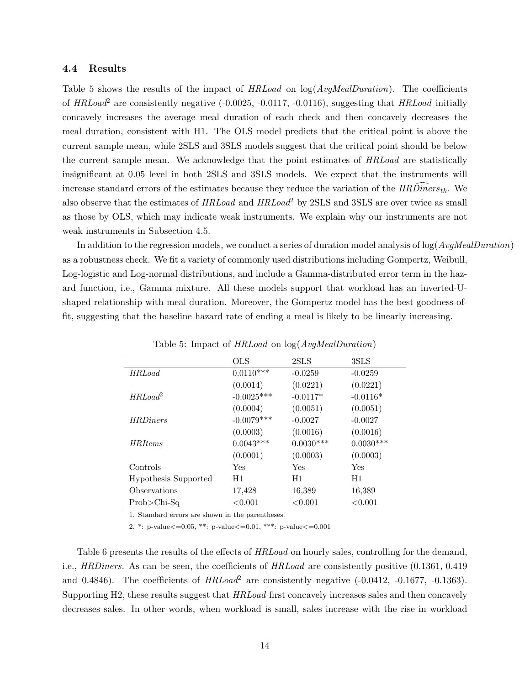#### 4.4 Results

Table 5 shows the results of the impact of  $HRLoad$  on  $log(AvgMedian)$ . The coefficients of  $HRLoad^2$  are consistently negative (-0.0025, -0.0117, -0.0116), suggesting that  $HRLoad$  initially concavely increases the average meal duration of each check and then concavely decreases the meal duration, consistent with H1. The OLS model predicts that the critical point is above the current sample mean, while 2SLS and 3SLS models suggest that the critical point should be below the current sample mean. We acknowledge that the point estimates of HRLoad are statistically insignificant at 0.05 level in both 2SLS and 3SLS models. We expect that the instruments will increase standard errors of the estimates because they reduce the variation of the  $HRD$ iners  $_{tk}$ . We also observe that the estimates of  $HRLoad$  and  $HRLoad^2$  by 2SLS and 3SLS are over twice as small as those by OLS, which may indicate weak instruments. We explain why our instruments are not weak instruments in Subsection 4.5.

In addition to the regression models, we conduct a series of duration model analysis of  $log(Avg$ *MealDuration* $)$ as a robustness check. We fit a variety of commonly used distributions including Gompertz, Weibull, Log-logistic and Log-normal distributions, and include a Gamma-distributed error term in the hazard function, i.e., Gamma mixture. All these models support that workload has an inverted-Ushaped relationship with meal duration. Moreover, the Gompertz model has the best goodness-offit, suggesting that the baseline hazard rate of ending a meal is likely to be linearly increasing.

|                             | OLS          | 2SLS        | 3SLS        |
|-----------------------------|--------------|-------------|-------------|
| <b>HRLoad</b>               | $0.0110***$  | $-0.0259$   | $-0.0259$   |
|                             | (0.0014)     | (0.0221)    | (0.0221)    |
| HRLoad <sup>2</sup>         | $-0.0025***$ | $-0.0117*$  | $-0.0116*$  |
|                             | (0.0004)     | (0.0051)    | (0.0051)    |
| <i>HRDiners</i>             | $-0.0079***$ | $-0.0027$   | $-0.0027$   |
|                             | (0.0003)     | (0.0016)    | (0.0016)    |
| <b>HRItems</b>              | $0.0043***$  | $0.0030***$ | $0.0030***$ |
|                             | (0.0001)     | (0.0003)    | (0.0003)    |
| Controls                    | Yes          | Yes         | Yes         |
| <b>Hypothesis Supported</b> | H1           | H1          | H1          |
| Observations                | 17,428       | 16,389      | 16,389      |
| $Prob$ >Chi-Sq              | < 0.001      | < 0.001     | < 0.001     |

Table 5: Impact of HRLoad on log(AvgMealDuration)

1. Standard errors are shown in the parentheses.

2. \*: p-value<=0.05, \*\*: p-value<=0.01, \*\*\*: p-value<=0.001

Table 6 presents the results of the effects of HRLoad on hourly sales, controlling for the demand, i.e., HRDiners. As can be seen, the coefficients of HRLoad are consistently positive (0.1361, 0.419) and 0.4846). The coefficients of  $HRLoad^2$  are consistently negative  $(-0.0412, -0.1677, -0.1363)$ . Supporting H2, these results suggest that HRLoad first concavely increases sales and then concavely decreases sales. In other words, when workload is small, sales increase with the rise in workload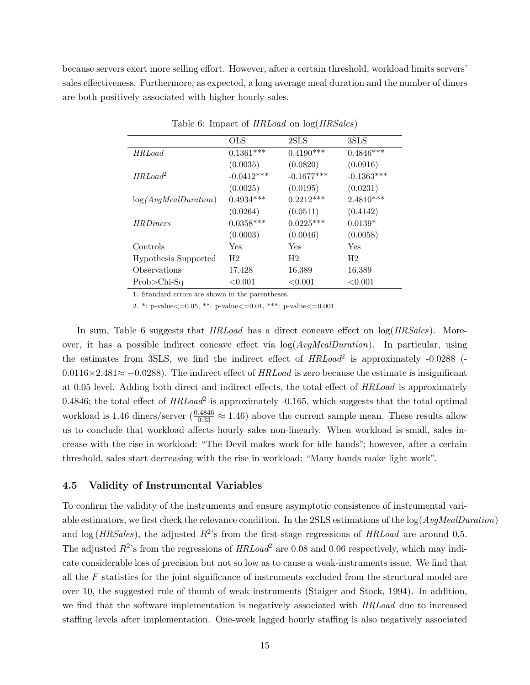because servers exert more selling effort. However, after a certain threshold, workload limits servers' sales effectiveness. Furthermore, as expected, a long average meal duration and the number of diners are both positively associated with higher hourly sales.

|                      | <b>OLS</b>     | 2SLS           | 3SLS           |
|----------------------|----------------|----------------|----------------|
| <b>HRLoad</b>        | $0.1361***$    | $0.4190***$    | $0.4846***$    |
|                      | (0.0035)       | (0.0820)       | (0.0916)       |
| $HRLoad^2$           | $-0.0412***$   | $-0.1677***$   | $-0.1363***$   |
|                      | (0.0025)       | (0.0195)       | (0.0231)       |
| log(AvqMealDuration) | $0.4934***$    | $0.2212***$    | $2.4810***$    |
|                      | (0.0264)       | (0.0511)       | (0.4142)       |
| <b>HRDiners</b>      | $0.0358***$    | $0.0225***$    | $0.0139*$      |
|                      | (0.0003)       | (0.0046)       | (0.0058)       |
| Controls             | Yes            | Yes            | Yes            |
| Hypothesis Supported | H <sub>2</sub> | H <sub>2</sub> | H <sub>2</sub> |
| Observations         | 17,428         | 16,389         | 16,389         |
| $Prob > Chi-Sq$      | ${<}0.001$     | < 0.001        | < 0.001        |

Table 6: Impact of HRLoad on log(HRSales)

1. Standard errors are shown in the parentheses.

2. \*: p-value<=0.05, \*\*: p-value<=0.01, \*\*\*: p-value<=0.001

In sum, Table 6 suggests that  $HRLoad$  has a direct concave effect on  $log(HRSales)$ . Moreover, it has a possible indirect concave effect via  $log(AvgMealDuration)$ . In particular, using the estimates from 3SLS, we find the indirect effect of  $HRLoad^2$  is approximately -0.0288 (- $0.0116\times2.481\approx-0.0288$ . The indirect effect of HRLoad is zero because the estimate is insignificant at 0.05 level. Adding both direct and indirect effects, the total effect of HRLoad is approximately 0.4846; the total effect of  $HRLoad^2$  is approximately -0.165, which suggests that the total optimal workload is 1.46 diners/server  $\left(\frac{0.4846}{0.33} \approx 1.46\right)$  above the current sample mean. These results allow us to conclude that workload affects hourly sales non-linearly. When workload is small, sales increase with the rise in workload: "The Devil makes work for idle hands"; however, after a certain threshold, sales start decreasing with the rise in workload: "Many hands make light work".

#### 4.5 Validity of Instrumental Variables

To confirm the validity of the instruments and ensure asymptotic consistence of instrumental variable estimators, we first check the relevance condition. In the 2SLS estimations of the  $log(Avq$ **M** $ealDuration)$ and log (*HRSales*), the adjusted  $R^2$ 's from the first-stage regressions of *HRLoad* are around 0.5. The adjusted  $R^2$ 's from the regressions of  $HRLoad^2$  are 0.08 and 0.06 respectively, which may indicate considerable loss of precision but not so low as to cause a weak-instruments issue. We find that all the F statistics for the joint significance of instruments excluded from the structural model are over 10, the suggested rule of thumb of weak instruments (Staiger and Stock, 1994). In addition, we find that the software implementation is negatively associated with HRLoad due to increased staffing levels after implementation. One-week lagged hourly staffing is also negatively associated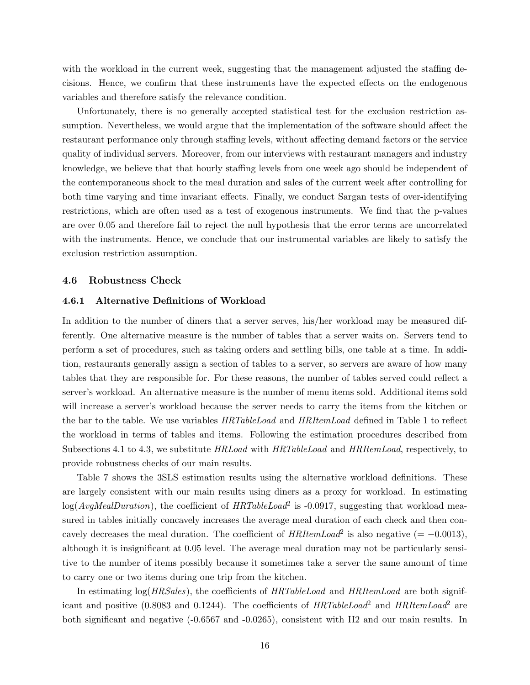with the workload in the current week, suggesting that the management adjusted the staffing decisions. Hence, we confirm that these instruments have the expected effects on the endogenous variables and therefore satisfy the relevance condition.

Unfortunately, there is no generally accepted statistical test for the exclusion restriction assumption. Nevertheless, we would argue that the implementation of the software should affect the restaurant performance only through staffing levels, without affecting demand factors or the service quality of individual servers. Moreover, from our interviews with restaurant managers and industry knowledge, we believe that that hourly staffing levels from one week ago should be independent of the contemporaneous shock to the meal duration and sales of the current week after controlling for both time varying and time invariant effects. Finally, we conduct Sargan tests of over-identifying restrictions, which are often used as a test of exogenous instruments. We find that the p-values are over 0.05 and therefore fail to reject the null hypothesis that the error terms are uncorrelated with the instruments. Hence, we conclude that our instrumental variables are likely to satisfy the exclusion restriction assumption.

#### 4.6 Robustness Check

#### 4.6.1 Alternative Definitions of Workload

In addition to the number of diners that a server serves, his/her workload may be measured differently. One alternative measure is the number of tables that a server waits on. Servers tend to perform a set of procedures, such as taking orders and settling bills, one table at a time. In addition, restaurants generally assign a section of tables to a server, so servers are aware of how many tables that they are responsible for. For these reasons, the number of tables served could reflect a server's workload. An alternative measure is the number of menu items sold. Additional items sold will increase a server's workload because the server needs to carry the items from the kitchen or the bar to the table. We use variables HRTableLoad and HRItemLoad defined in Table 1 to reflect the workload in terms of tables and items. Following the estimation procedures described from Subsections 4.1 to 4.3, we substitute HRLoad with HRTableLoad and HRItemLoad, respectively, to provide robustness checks of our main results.

Table 7 shows the 3SLS estimation results using the alternative workload definitions. These are largely consistent with our main results using diners as a proxy for workload. In estimating  $log(AvgMedian)$ , the coefficient of  $HRTableLoad^2$  is -0.0917, suggesting that workload measured in tables initially concavely increases the average meal duration of each check and then concavely decreases the meal duration. The coefficient of  $HRItemLoad^2$  is also negative (= -0.0013), although it is insignificant at 0.05 level. The average meal duration may not be particularly sensitive to the number of items possibly because it sometimes take a server the same amount of time to carry one or two items during one trip from the kitchen.

In estimating  $log(HRSales)$ , the coefficients of  $HRTableLoad$  and  $HRItemLoad$  are both significant and positive (0.8083 and 0.1244). The coefficients of  $HRTableLoad^2$  and  $HRItemLoad^2$  are both significant and negative (-0.6567 and -0.0265), consistent with H2 and our main results. In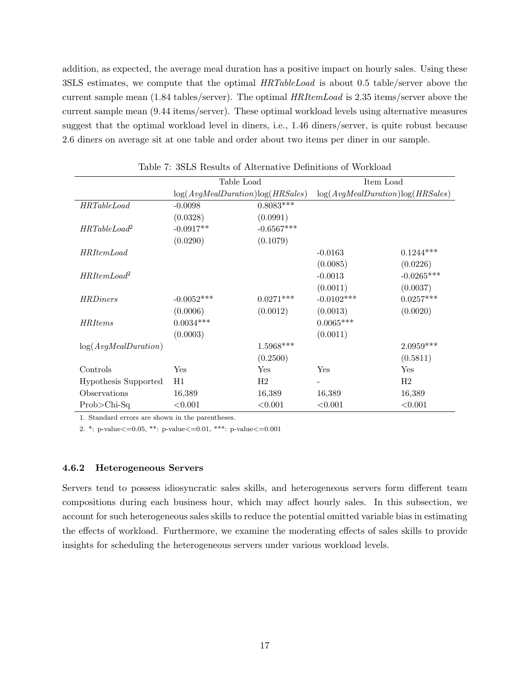addition, as expected, the average meal duration has a positive impact on hourly sales. Using these 3SLS estimates, we compute that the optimal HRTableLoad is about 0.5 table/server above the current sample mean (1.84 tables/server). The optimal HRItemLoad is 2.35 items/server above the current sample mean (9.44 items/server). These optimal workload levels using alternative measures suggest that the optimal workload level in diners, i.e., 1.46 diners/server, is quite robust because 2.6 diners on average sit at one table and order about two items per diner in our sample.

|                      | Table Load                       |              | Item Load                        |              |  |
|----------------------|----------------------------------|--------------|----------------------------------|--------------|--|
|                      | log(AvqMeanDuration)log(HRSales) |              | log(AvgMealDuration)log(HRSales) |              |  |
| <b>HRTableLoad</b>   | $-0.0098$                        | $0.8083***$  |                                  |              |  |
|                      | (0.0328)                         | (0.0991)     |                                  |              |  |
| $HRTableLoad^2$      | $-0.0917**$                      | $-0.6567***$ |                                  |              |  |
|                      | (0.0290)                         | (0.1079)     |                                  |              |  |
| <i>HRItemLoad</i>    |                                  |              | $-0.0163$                        | $0.1244***$  |  |
|                      |                                  |              | (0.0085)                         | (0.0226)     |  |
| $HRItemLoad^2$       |                                  |              | $-0.0013$                        | $-0.0265***$ |  |
|                      |                                  |              | (0.0011)                         | (0.0037)     |  |
| <i>HRDiners</i>      | $-0.0052***$                     | $0.0271***$  | $-0.0102***$                     | $0.0257***$  |  |
|                      | (0.0006)                         | (0.0012)     | (0.0013)                         | (0.0020)     |  |
| <b>HRItems</b>       | $0.0034***$                      |              | $0.0065***$                      |              |  |
|                      | (0.0003)                         |              | (0.0011)                         |              |  |
| log(AvgMealDuration) |                                  | 1.5968***    |                                  | $2.0959***$  |  |
|                      |                                  | (0.2500)     |                                  | (0.5811)     |  |
| Controls             | Yes                              | Yes          | Yes                              | Yes          |  |
| Hypothesis Supported | H1                               | H2           |                                  | H2           |  |
| Observations         | 16,389                           | 16,389       | 16,389                           | 16,389       |  |
| $Prob > Chi-Sq$      | < 0.001                          | < 0.001      | < 0.001                          | < 0.001      |  |

Table 7: 3SLS Results of Alternative Definitions of Workload

1. Standard errors are shown in the parentheses.

2. \*: p-value<=0.05, \*\*: p-value<=0.01, \*\*\*: p-value<=0.001

#### 4.6.2 Heterogeneous Servers

Servers tend to possess idiosyncratic sales skills, and heterogeneous servers form different team compositions during each business hour, which may affect hourly sales. In this subsection, we account for such heterogeneous sales skills to reduce the potential omitted variable bias in estimating the effects of workload. Furthermore, we examine the moderating effects of sales skills to provide insights for scheduling the heterogeneous servers under various workload levels.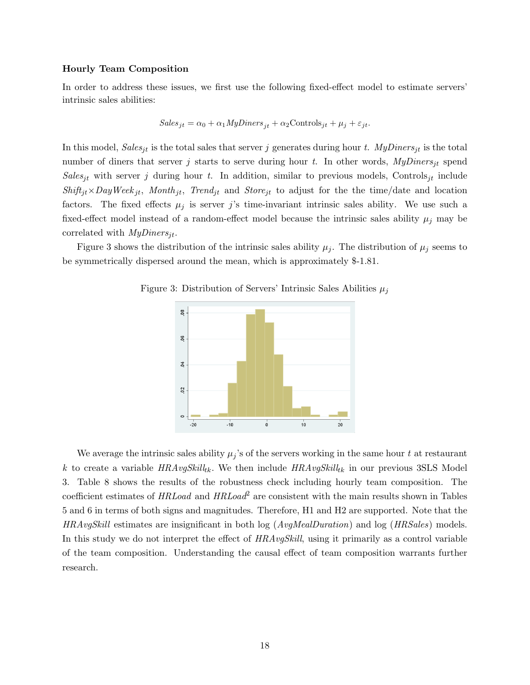#### Hourly Team Composition

In order to address these issues, we first use the following fixed-effect model to estimate servers' intrinsic sales abilities:

$$
Sales_{jt} = \alpha_0 + \alpha_1 MyDiners_{jt} + \alpha_2 Controls_{jt} + \mu_j + \varepsilon_{jt}.
$$

In this model, Sales<sub>it</sub> is the total sales that server j generates during hour t. MyDiners<sub>it</sub> is the total number of diners that server j starts to serve during hour t. In other words,  $MyDiners_{it}$  spend Sales<sub>it</sub> with server j during hour t. In addition, similar to previous models, Controls<sub>it</sub> include  $Shift_{it} \times DayWeek_{it}$ , Month<sub>it</sub>, Trend<sub>it</sub> and Store<sub>it</sub> to adjust for the the time/date and location factors. The fixed effects  $\mu_j$  is server j's time-invariant intrinsic sales ability. We use such a fixed-effect model instead of a random-effect model because the intrinsic sales ability  $\mu_i$  may be correlated with  $MyDiners_{it}$ .

Figure 3 shows the distribution of the intrinsic sales ability  $\mu_j$ . The distribution of  $\mu_j$  seems to be symmetrically dispersed around the mean, which is approximately \$-1.81.





We average the intrinsic sales ability  $\mu_j$ 's of the servers working in the same hour t at restaurant k to create a variable  $HRAvgSkills_k$ . We then include  $HRAvgStill_{tk}$  in our previous 3SLS Model 3. Table 8 shows the results of the robustness check including hourly team composition. The coefficient estimates of  $HRLoad$  and  $HRLoad<sup>2</sup>$  are consistent with the main results shown in Tables 5 and 6 in terms of both signs and magnitudes. Therefore, H1 and H2 are supported. Note that the  $HRAvgSkill$  estimates are insignificant in both log ( $AvgMealDuration$ ) and log ( $HRSales$ ) models. In this study we do not interpret the effect of  $HRAvgSkill$ , using it primarily as a control variable of the team composition. Understanding the causal effect of team composition warrants further research.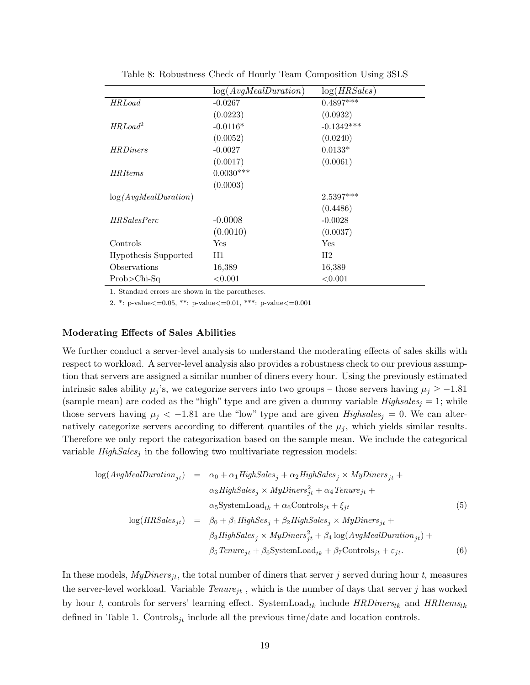|                             | log(AvgMealDuration) | log(HRSales)   |
|-----------------------------|----------------------|----------------|
| <b>HRLoad</b>               | $-0.0267$            | $0.4897***$    |
|                             | (0.0223)             | (0.0932)       |
| $HRLoad^2$                  | $-0.0116*$           | $-0.1342***$   |
|                             | (0.0052)             | (0.0240)       |
| <b>HRDiners</b>             | $-0.0027$            | $0.0133*$      |
|                             | (0.0017)             | (0.0061)       |
| <i>HRItems</i>              | $0.0030***$          |                |
|                             | (0.0003)             |                |
| log(AvqMealDuration)        |                      | $2.5397***$    |
|                             |                      | (0.4486)       |
| <i>HRSalesPerc</i>          | $-0.0008$            | $-0.0028$      |
|                             | (0.0010)             | (0.0037)       |
| Controls                    | Yes                  | Yes            |
| <b>Hypothesis Supported</b> | H1                   | H <sub>2</sub> |
| Observations                | 16,389               | 16,389         |
| $Prob > Chi-Sq$             | < 0.001              | < 0.001        |

Table 8: Robustness Check of Hourly Team Composition Using 3SLS

1. Standard errors are shown in the parentheses.

2. \*: p-value<=0.05, \*\*: p-value<=0.01, \*\*\*: p-value<=0.001

#### Moderating Effects of Sales Abilities

We further conduct a server-level analysis to understand the moderating effects of sales skills with respect to workload. A server-level analysis also provides a robustness check to our previous assumption that servers are assigned a similar number of diners every hour. Using the previously estimated intrinsic sales ability  $\mu_j$ 's, we categorize servers into two groups – those servers having  $\mu_j \ge -1.81$ (sample mean) are coded as the "high" type and are given a dummy variable  $Highsales_j = 1$ ; while those servers having  $\mu_j < -1.81$  are the "low" type and are given Highsales<sub>j</sub> = 0. We can alternatively categorize servers according to different quantiles of the  $\mu_j$ , which yields similar results. Therefore we only report the categorization based on the sample mean. We include the categorical variable  $High Sales<sub>j</sub>$  in the following two multivariate regression models:

$$
log(AvgMeanDuration_{jt}) = \alpha_0 + \alpha_1 High Sales_j + \alpha_2 High Sales_j \times MyD iners_{jt} +
$$
  
\n
$$
\alpha_3 High Sales_j \times MyD iners_{jt}^2 + \alpha_4 Tenure_{jt} +
$$
  
\n
$$
\alpha_5 SystemLoad_{tk} + \alpha_6 Controls_{jt} + \xi_{jt}
$$
  
\n
$$
log(HRSales_{jt}) = \beta_0 + \beta_1 High Ses_j + \beta_2 High Sales_j \times MyD iners_{jt} +
$$
  
\n
$$
\beta_3 High Sales_j \times MyD iners_{jt}^2 + \beta_4 log(AvgMeanDuration_{jt}) +
$$
  
\n
$$
\beta_5 Tenure_{jt} + \beta_6 SystemLoad_{tk} + \beta_7 Controls_{jt} + \varepsilon_{jt}.
$$
  
\n(6)

In these models,  $MyDiners_{it}$ , the total number of diners that server j served during hour t, measures the server-level workload. Variable  $Tenure_{jt}$ , which is the number of days that server j has worked by hour t, controls for servers' learning effect. SystemLoad<sub>tk</sub> include  $HRD$ inerstk and  $HRI$ temstk defined in Table 1. Controls<sub>jt</sub> include all the previous time/date and location controls.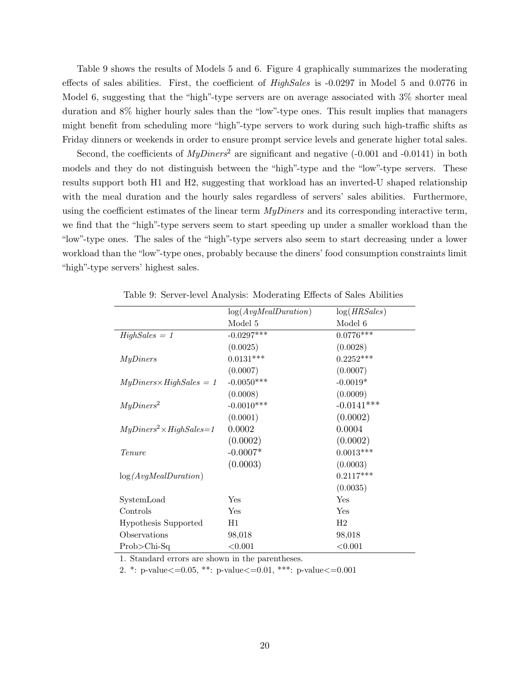Table 9 shows the results of Models 5 and 6. Figure 4 graphically summarizes the moderating effects of sales abilities. First, the coefficient of *HighSales* is -0.0297 in Model 5 and 0.0776 in Model 6, suggesting that the "high"-type servers are on average associated with 3% shorter meal duration and 8% higher hourly sales than the "low"-type ones. This result implies that managers might benefit from scheduling more "high"-type servers to work during such high-traffic shifts as Friday dinners or weekends in order to ensure prompt service levels and generate higher total sales.

Second, the coefficients of  $MyDiners^2$  are significant and negative (-0.001 and -0.0141) in both models and they do not distinguish between the "high"-type and the "low"-type servers. These results support both H1 and H2, suggesting that workload has an inverted-U shaped relationship with the meal duration and the hourly sales regardless of servers' sales abilities. Furthermore, using the coefficient estimates of the linear term  $MyDners$  and its corresponding interactive term, we find that the "high"-type servers seem to start speeding up under a smaller workload than the "low"-type ones. The sales of the "high"-type servers also seem to start decreasing under a lower workload than the "low"-type ones, probably because the diners' food consumption constraints limit "high"-type servers' highest sales.

|                                    | log(AvgMealDuration) | log(HRSales) |
|------------------------------------|----------------------|--------------|
|                                    | Model 5              | Model 6      |
| $High Sales = 1$                   | $-0.0297***$         | $0.0776***$  |
|                                    | (0.0025)             | (0.0028)     |
| MyDiners                           | $0.0131***$          | $0.2252***$  |
|                                    | (0.0007)             | (0.0007)     |
| $MyDiners \times High Sales = 1$   | $-0.0050***$         | $-0.0019*$   |
|                                    | (0.0008)             | (0.0009)     |
| MyDiners <sup>2</sup>              | $-0.0010***$         | $-0.0141***$ |
|                                    | (0.0001)             | (0.0002)     |
| $MyDiners^2 \times High Sales = 1$ | 0.0002               | 0.0004       |
|                                    | (0.0002)             | (0.0002)     |
| Tenure                             | $-0.0007*$           | $0.0013***$  |
|                                    | (0.0003)             | (0.0003)     |
| log(AvgMealDuration)               |                      | $0.2117***$  |
|                                    |                      | (0.0035)     |
| SystemLoad                         | $\operatorname{Yes}$ | Yes          |
| Controls                           | Yes                  | Yes          |
| Hypothesis Supported               | H1                   | H2           |
| Observations                       | 98,018               | 98,018       |
| $Prob > Chi-Sq$                    | < 0.001              | < 0.001      |

Table 9: Server-level Analysis: Moderating Effects of Sales Abilities

1. Standard errors are shown in the parentheses.

2. \*: p-value<=0.05, \*\*: p-value<=0.01, \*\*\*: p-value<=0.001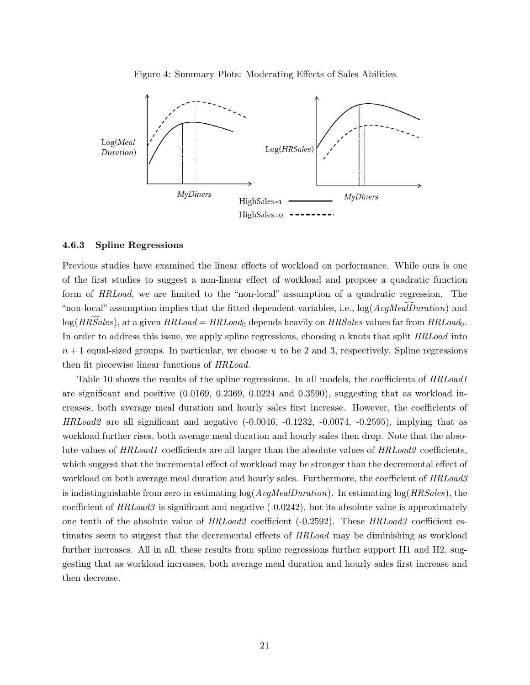Figure 4: Summary Plots: Moderating Effects of Sales Abilities



#### 4.6.3 Spline Regressions

Previous studies have examined the linear effects of workload on performance. While ours is one of the first studies to suggest a non-linear effect of workload and propose a quadratic function form of HRLoad, we are limited to the "non-local" assumption of a quadratic regression. The "non-local" assumption implies that the fitted dependent variables, i.e.,  $\log(AvgMealDuration)$  and  $log(HRSales)$ , at a given  $HRLoad = HRLoad_0$  depends heavily on  $HRSales$  values far from  $HRLoad_0$ . In order to address this issue, we apply spline regressions, choosing n knots that split HRLoad into  $n+1$  equal-sized groups. In particular, we choose n to be 2 and 3, respectively. Spline regressions then fit piecewise linear functions of HRLoad.

Table 10 shows the results of the spline regressions. In all models, the coefficients of HRLoad1 are significant and positive (0.0169, 0.2369, 0.0224 and 0.3590), suggesting that as workload increases, both average meal duration and hourly sales first increase. However, the coefficients of  $HRLoad2$  are all significant and negative  $(-0.0046, -0.1232, -0.0074, -0.2595)$ , implying that as workload further rises, both average meal duration and hourly sales then drop. Note that the absolute values of HRLoad1 coefficients are all larger than the absolute values of HRLoad2 coefficients, which suggest that the incremental effect of workload may be stronger than the decremental effect of workload on both average meal duration and hourly sales. Furthermore, the coefficient of HRLoad3 is indistinguishable from zero in estimating  $log(Avq$ *MealDuration* $). In estimating  $log(HRSales)$ , the$ coefficient of  $HRLoad3$  is significant and negative  $(-0.0242)$ , but its absolute value is approximately one tenth of the absolute value of  $HRLoad2$  coefficient (-0.2592). These  $HRLoad3$  coefficient estimates seem to suggest that the decremental effects of HRLoad may be diminishing as workload further increases. All in all, these results from spline regressions further support H1 and H2, suggesting that as workload increases, both average meal duration and hourly sales first increase and then decrease.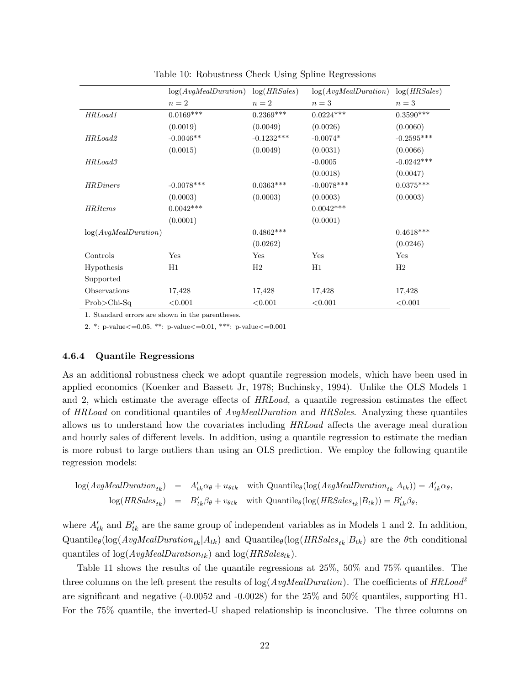|                      | log(AvqMealDuration) | log(HRSales) | log(AvqMealDuration) | log(HRSales) |
|----------------------|----------------------|--------------|----------------------|--------------|
|                      | $n=2$                | $n=2$        | $n=3$                | $n=3$        |
| HRLoad1              | $0.0169***$          | $0.2369***$  | $0.0224***$          | $0.3590***$  |
|                      | (0.0019)             | (0.0049)     | (0.0026)             | (0.0060)     |
| HRLoad <sub>2</sub>  | $-0.0046**$          | $-0.1232***$ | $-0.0074*$           | $-0.2595***$ |
|                      | (0.0015)             | (0.0049)     | (0.0031)             | (0.0066)     |
| HRLoad3              |                      |              | $-0.0005$            | $-0.0242***$ |
|                      |                      |              | (0.0018)             | (0.0047)     |
| <i>HRDiners</i>      | $-0.0078***$         | $0.0363***$  | $-0.0078***$         | $0.0375***$  |
|                      | (0.0003)             | (0.0003)     | (0.0003)             | (0.0003)     |
| <b>HRItems</b>       | $0.0042***$          |              | $0.0042***$          |              |
|                      | (0.0001)             |              | (0.0001)             |              |
| log(AvgMealDuration) |                      | $0.4862***$  |                      | $0.4618***$  |
|                      |                      | (0.0262)     |                      | (0.0246)     |
| Controls             | Yes                  | Yes          | Yes                  | Yes          |
| Hypothesis           | H1                   | H2           | H1                   | H2           |
| Supported            |                      |              |                      |              |
| Observations         | 17,428               | 17,428       | 17,428               | 17,428       |
| $Prob$ >Chi-Sq       | < 0.001              | < 0.001      | < 0.001              | < 0.001      |

Table 10: Robustness Check Using Spline Regressions

1. Standard errors are shown in the parentheses.

2. \*: p-value<=0.05, \*\*: p-value<=0.01, \*\*\*: p-value<=0.001

#### 4.6.4 Quantile Regressions

As an additional robustness check we adopt quantile regression models, which have been used in applied economics (Koenker and Bassett Jr, 1978; Buchinsky, 1994). Unlike the OLS Models 1 and 2, which estimate the average effects of HRLoad, a quantile regression estimates the effect of HRLoad on conditional quantiles of AvgMealDuration and HRSales. Analyzing these quantiles allows us to understand how the covariates including HRLoad affects the average meal duration and hourly sales of different levels. In addition, using a quantile regression to estimate the median is more robust to large outliers than using an OLS prediction. We employ the following quantile regression models:

$$
\log(AvgMedianDuration_{tk}) = A'_{tk}\alpha_{\theta} + u_{\theta tk} \text{ with Quantile}_{\theta}(\log(AvgMeanDuration_{tk}|A_{tk})) = A'_{tk}\alpha_{\theta},
$$
  

$$
\log(HRSales_{tk}) = B'_{tk}\beta_{\theta} + v_{\theta tk} \text{ with Quantile}_{\theta}(\log(HRSales_{tk}|B_{tk})) = B'_{tk}\beta_{\theta},
$$

where  $A'_{tk}$  and  $B'_{tk}$  are the same group of independent variables as in Models 1 and 2. In addition, Quantile<sub>θ</sub>(log(*AvgMealDuration<sub>tk</sub>*|A<sub>tk</sub>) and Quantile<sub>θ</sub>(log(*HRSales<sub>tk</sub>*|B<sub>tk</sub>) are the θth conditional quantiles of  $log(AvgMealDuration_{tk})$  and  $log(HRSales_{tk}).$ 

Table 11 shows the results of the quantile regressions at 25%, 50% and 75% quantiles. The three columns on the left present the results of  $log(AvgMedian)$ . The coefficients of  $HRLoad^2$ are significant and negative  $(-0.0052 \text{ and } -0.0028)$  for the 25% and 50% quantiles, supporting H1. For the 75% quantile, the inverted-U shaped relationship is inconclusive. The three columns on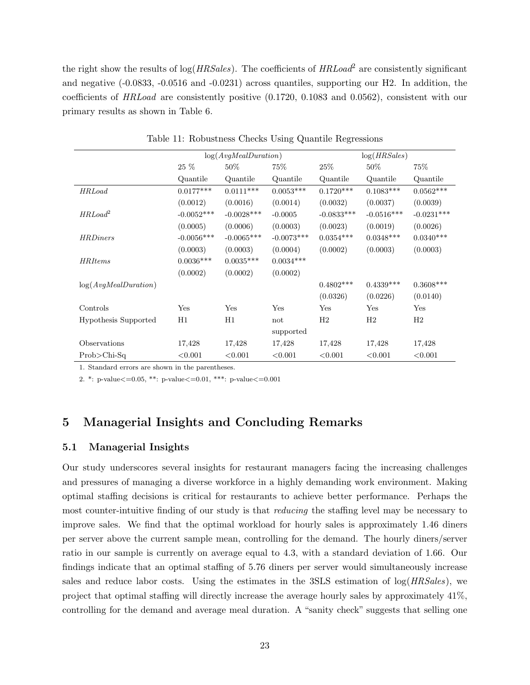the right show the results of  $log(HRSales)$ . The coefficients of  $HRLoad^2$  are consistently significant and negative (-0.0833, -0.0516 and -0.0231) across quantiles, supporting our H2. In addition, the coefficients of HRLoad are consistently positive (0.1720, 0.1083 and 0.0562), consistent with our primary results as shown in Table 6.

|                             | log(HRSales)<br>log(AvqMealDuration) |              |              |              |              |              |
|-----------------------------|--------------------------------------|--------------|--------------|--------------|--------------|--------------|
|                             |                                      |              |              |              |              |              |
|                             | 25 %                                 | $50\%$       | 75\%         | 25%          | $50\%$       | $75\%$       |
|                             | Quantile                             | Quantile     | Quantile     | Quantile     | Quantile     | Quantile     |
| <b>HRLoad</b>               | $0.0177***$                          | $0.0111***$  | $0.0053***$  | $0.1720***$  | $0.1083***$  | $0.0562***$  |
|                             | (0.0012)                             | (0.0016)     | (0.0014)     | (0.0032)     | (0.0037)     | (0.0039)     |
| $HRLoad^2$                  | $-0.0052***$                         | $-0.0028***$ | $-0.0005$    | $-0.0833***$ | $-0.0516***$ | $-0.0231***$ |
|                             | (0.0005)                             | (0.0006)     | (0.0003)     | (0.0023)     | (0.0019)     | (0.0026)     |
| <b>HRDiners</b>             | $-0.0056***$                         | $-0.0065***$ | $-0.0073***$ | $0.0354***$  | $0.0348***$  | $0.0340***$  |
|                             | (0.0003)                             | (0.0003)     | (0.0004)     | (0.0002)     | (0.0003)     | (0.0003)     |
| <b>HRItems</b>              | $0.0036***$                          | $0.0035***$  | $0.0034***$  |              |              |              |
|                             | (0.0002)                             | (0.0002)     | (0.0002)     |              |              |              |
| log(AvgMealDuration)        |                                      |              |              | $0.4802***$  | $0.4339***$  | $0.3608***$  |
|                             |                                      |              |              | (0.0326)     | (0.0226)     | (0.0140)     |
| Controls                    | Yes                                  | Yes          | Yes          | Yes          | Yes          | Yes          |
| <b>Hypothesis Supported</b> | H1                                   | H1           | not          | H2           | H2           | H2           |
|                             |                                      |              | supported    |              |              |              |
| Observations                | 17,428                               | 17,428       | 17,428       | 17,428       | 17,428       | 17,428       |
| $Prob$ >Chi-Sq              | < 0.001                              | < 0.001      | < 0.001      | < 0.001      | < 0.001      | < 0.001      |

Table 11: Robustness Checks Using Quantile Regressions

1. Standard errors are shown in the parentheses.

2. \*: p-value<=0.05, \*\*: p-value<=0.01, \*\*\*: p-value<=0.001

# 5 Managerial Insights and Concluding Remarks

#### 5.1 Managerial Insights

Our study underscores several insights for restaurant managers facing the increasing challenges and pressures of managing a diverse workforce in a highly demanding work environment. Making optimal staffing decisions is critical for restaurants to achieve better performance. Perhaps the most counter-intuitive finding of our study is that *reducing* the staffing level may be necessary to improve sales. We find that the optimal workload for hourly sales is approximately 1.46 diners per server above the current sample mean, controlling for the demand. The hourly diners/server ratio in our sample is currently on average equal to 4.3, with a standard deviation of 1.66. Our findings indicate that an optimal staffing of 5.76 diners per server would simultaneously increase sales and reduce labor costs. Using the estimates in the  $3SLS$  estimation of  $log(HRSales)$ , we project that optimal staffing will directly increase the average hourly sales by approximately 41%, controlling for the demand and average meal duration. A "sanity check" suggests that selling one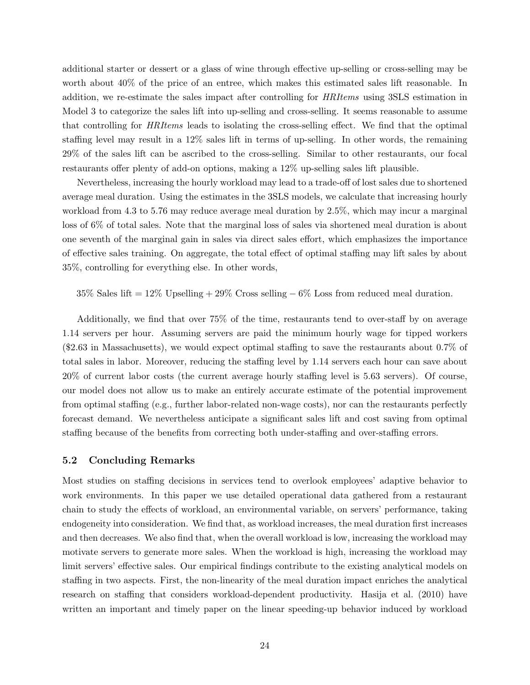additional starter or dessert or a glass of wine through effective up-selling or cross-selling may be worth about 40% of the price of an entree, which makes this estimated sales lift reasonable. In addition, we re-estimate the sales impact after controlling for HRItems using 3SLS estimation in Model 3 to categorize the sales lift into up-selling and cross-selling. It seems reasonable to assume that controlling for HRItems leads to isolating the cross-selling effect. We find that the optimal staffing level may result in a 12% sales lift in terms of up-selling. In other words, the remaining 29% of the sales lift can be ascribed to the cross-selling. Similar to other restaurants, our focal restaurants offer plenty of add-on options, making a 12% up-selling sales lift plausible.

Nevertheless, increasing the hourly workload may lead to a trade-off of lost sales due to shortened average meal duration. Using the estimates in the 3SLS models, we calculate that increasing hourly workload from 4.3 to 5.76 may reduce average meal duration by 2.5%, which may incur a marginal loss of 6% of total sales. Note that the marginal loss of sales via shortened meal duration is about one seventh of the marginal gain in sales via direct sales effort, which emphasizes the importance of effective sales training. On aggregate, the total effect of optimal staffing may lift sales by about 35%, controlling for everything else. In other words,

35% Sales lift =  $12\%$  Upselling +  $29\%$  Cross selling  $-6\%$  Loss from reduced meal duration.

Additionally, we find that over 75% of the time, restaurants tend to over-staff by on average 1.14 servers per hour. Assuming servers are paid the minimum hourly wage for tipped workers (\$2.63 in Massachusetts), we would expect optimal staffing to save the restaurants about 0.7% of total sales in labor. Moreover, reducing the staffing level by 1.14 servers each hour can save about 20% of current labor costs (the current average hourly staffing level is 5.63 servers). Of course, our model does not allow us to make an entirely accurate estimate of the potential improvement from optimal staffing (e.g., further labor-related non-wage costs), nor can the restaurants perfectly forecast demand. We nevertheless anticipate a significant sales lift and cost saving from optimal staffing because of the benefits from correcting both under-staffing and over-staffing errors.

#### 5.2 Concluding Remarks

Most studies on staffing decisions in services tend to overlook employees' adaptive behavior to work environments. In this paper we use detailed operational data gathered from a restaurant chain to study the effects of workload, an environmental variable, on servers' performance, taking endogeneity into consideration. We find that, as workload increases, the meal duration first increases and then decreases. We also find that, when the overall workload is low, increasing the workload may motivate servers to generate more sales. When the workload is high, increasing the workload may limit servers' effective sales. Our empirical findings contribute to the existing analytical models on staffing in two aspects. First, the non-linearity of the meal duration impact enriches the analytical research on staffing that considers workload-dependent productivity. Hasija et al. (2010) have written an important and timely paper on the linear speeding-up behavior induced by workload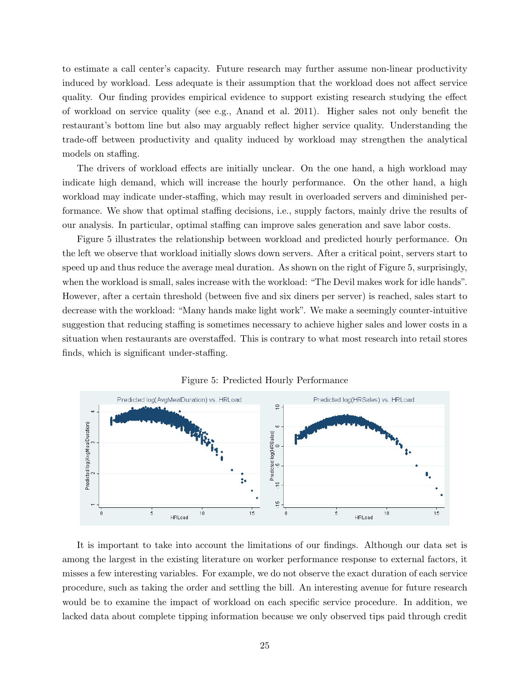to estimate a call center's capacity. Future research may further assume non-linear productivity induced by workload. Less adequate is their assumption that the workload does not affect service quality. Our finding provides empirical evidence to support existing research studying the effect of workload on service quality (see e.g., Anand et al. 2011). Higher sales not only benefit the restaurant's bottom line but also may arguably reflect higher service quality. Understanding the trade-off between productivity and quality induced by workload may strengthen the analytical models on staffing.

The drivers of workload effects are initially unclear. On the one hand, a high workload may indicate high demand, which will increase the hourly performance. On the other hand, a high workload may indicate under-staffing, which may result in overloaded servers and diminished performance. We show that optimal staffing decisions, i.e., supply factors, mainly drive the results of our analysis. In particular, optimal staffing can improve sales generation and save labor costs.

Figure 5 illustrates the relationship between workload and predicted hourly performance. On the left we observe that workload initially slows down servers. After a critical point, servers start to speed up and thus reduce the average meal duration. As shown on the right of Figure 5, surprisingly, when the workload is small, sales increase with the workload: "The Devil makes work for idle hands". However, after a certain threshold (between five and six diners per server) is reached, sales start to decrease with the workload: "Many hands make light work". We make a seemingly counter-intuitive suggestion that reducing staffing is sometimes necessary to achieve higher sales and lower costs in a situation when restaurants are overstaffed. This is contrary to what most research into retail stores finds, which is significant under-staffing.



Figure 5: Predicted Hourly Performance

It is important to take into account the limitations of our findings. Although our data set is among the largest in the existing literature on worker performance response to external factors, it misses a few interesting variables. For example, we do not observe the exact duration of each service procedure, such as taking the order and settling the bill. An interesting avenue for future research would be to examine the impact of workload on each specific service procedure. In addition, we lacked data about complete tipping information because we only observed tips paid through credit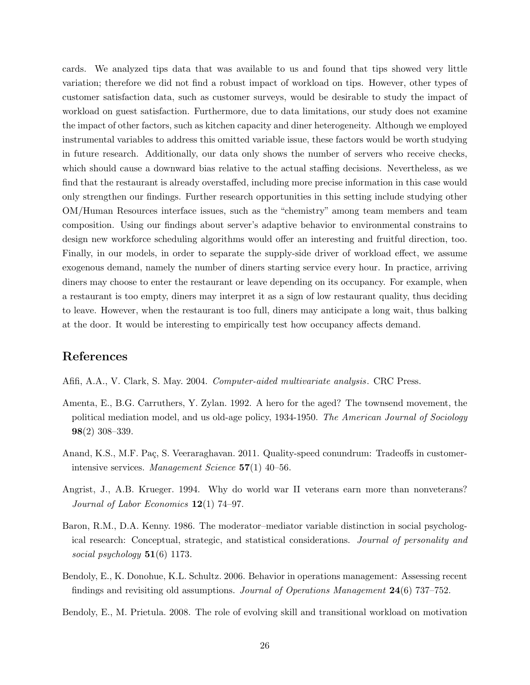cards. We analyzed tips data that was available to us and found that tips showed very little variation; therefore we did not find a robust impact of workload on tips. However, other types of customer satisfaction data, such as customer surveys, would be desirable to study the impact of workload on guest satisfaction. Furthermore, due to data limitations, our study does not examine the impact of other factors, such as kitchen capacity and diner heterogeneity. Although we employed instrumental variables to address this omitted variable issue, these factors would be worth studying in future research. Additionally, our data only shows the number of servers who receive checks, which should cause a downward bias relative to the actual staffing decisions. Nevertheless, as we find that the restaurant is already overstaffed, including more precise information in this case would only strengthen our findings. Further research opportunities in this setting include studying other OM/Human Resources interface issues, such as the "chemistry" among team members and team composition. Using our findings about server's adaptive behavior to environmental constrains to design new workforce scheduling algorithms would offer an interesting and fruitful direction, too. Finally, in our models, in order to separate the supply-side driver of workload effect, we assume exogenous demand, namely the number of diners starting service every hour. In practice, arriving diners may choose to enter the restaurant or leave depending on its occupancy. For example, when a restaurant is too empty, diners may interpret it as a sign of low restaurant quality, thus deciding to leave. However, when the restaurant is too full, diners may anticipate a long wait, thus balking at the door. It would be interesting to empirically test how occupancy affects demand.

# References

- Afifi, A.A., V. Clark, S. May. 2004. Computer-aided multivariate analysis. CRC Press.
- Amenta, E., B.G. Carruthers, Y. Zylan. 1992. A hero for the aged? The townsend movement, the political mediation model, and us old-age policy, 1934-1950. The American Journal of Sociology 98(2) 308–339.
- Anand, K.S., M.F. Paç, S. Veeraraghavan. 2011. Quality-speed conundrum: Tradeoffs in customerintensive services. Management Science 57(1) 40–56.
- Angrist, J., A.B. Krueger. 1994. Why do world war II veterans earn more than nonveterans? Journal of Labor Economics  $12(1)$  74–97.
- Baron, R.M., D.A. Kenny. 1986. The moderator–mediator variable distinction in social psychological research: Conceptual, strategic, and statistical considerations. Journal of personality and social psychology  $51(6)$  1173.
- Bendoly, E., K. Donohue, K.L. Schultz. 2006. Behavior in operations management: Assessing recent findings and revisiting old assumptions. Journal of Operations Management 24(6) 737–752.
- Bendoly, E., M. Prietula. 2008. The role of evolving skill and transitional workload on motivation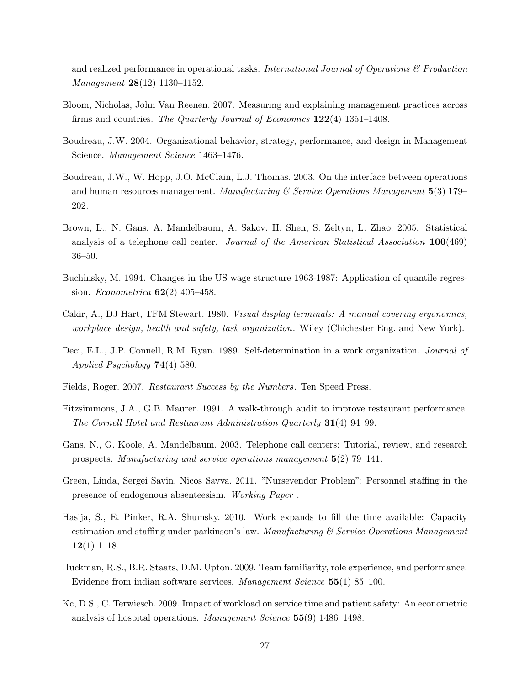and realized performance in operational tasks. International Journal of Operations  $\mathcal B$  Production Management **28**(12) 1130-1152.

- Bloom, Nicholas, John Van Reenen. 2007. Measuring and explaining management practices across firms and countries. The Quarterly Journal of Economics 122(4) 1351–1408.
- Boudreau, J.W. 2004. Organizational behavior, strategy, performance, and design in Management Science. Management Science 1463–1476.
- Boudreau, J.W., W. Hopp, J.O. McClain, L.J. Thomas. 2003. On the interface between operations and human resources management. Manufacturing  $\mathscr C$  Service Operations Management 5(3) 179– 202.
- Brown, L., N. Gans, A. Mandelbaum, A. Sakov, H. Shen, S. Zeltyn, L. Zhao. 2005. Statistical analysis of a telephone call center. Journal of the American Statistical Association 100(469) 36–50.
- Buchinsky, M. 1994. Changes in the US wage structure 1963-1987: Application of quantile regression. Econometrica 62(2) 405–458.
- Cakir, A., DJ Hart, TFM Stewart. 1980. Visual display terminals: A manual covering ergonomics, workplace design, health and safety, task organization. Wiley (Chichester Eng. and New York).
- Deci, E.L., J.P. Connell, R.M. Ryan. 1989. Self-determination in a work organization. Journal of Applied Psychology 74(4) 580.
- Fields, Roger. 2007. Restaurant Success by the Numbers. Ten Speed Press.
- Fitzsimmons, J.A., G.B. Maurer. 1991. A walk-through audit to improve restaurant performance. The Cornell Hotel and Restaurant Administration Quarterly 31(4) 94–99.
- Gans, N., G. Koole, A. Mandelbaum. 2003. Telephone call centers: Tutorial, review, and research prospects. Manufacturing and service operations management 5(2) 79–141.
- Green, Linda, Sergei Savin, Nicos Savva. 2011. "Nursevendor Problem": Personnel staffing in the presence of endogenous absenteesism. Working Paper .
- Hasija, S., E. Pinker, R.A. Shumsky. 2010. Work expands to fill the time available: Capacity estimation and staffing under parkinson's law. Manufacturing  $\mathcal C$  Service Operations Management  $12(1)$  1–18.
- Huckman, R.S., B.R. Staats, D.M. Upton. 2009. Team familiarity, role experience, and performance: Evidence from indian software services. Management Science 55(1) 85–100.
- Kc, D.S., C. Terwiesch. 2009. Impact of workload on service time and patient safety: An econometric analysis of hospital operations. Management Science 55(9) 1486–1498.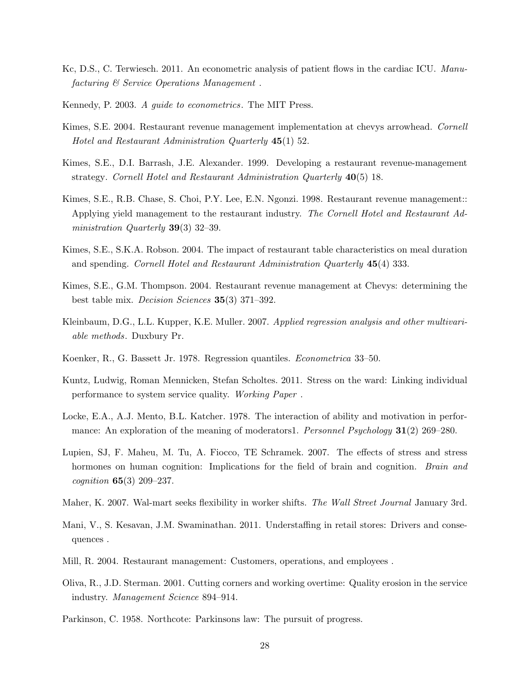- Kc, D.S., C. Terwiesch. 2011. An econometric analysis of patient flows in the cardiac ICU. Manufacturing & Service Operations Management .
- Kennedy, P. 2003. A guide to econometrics. The MIT Press.
- Kimes, S.E. 2004. Restaurant revenue management implementation at chevys arrowhead. Cornell Hotel and Restaurant Administration Quarterly 45(1) 52.
- Kimes, S.E., D.I. Barrash, J.E. Alexander. 1999. Developing a restaurant revenue-management strategy. Cornell Hotel and Restaurant Administration Quarterly 40(5) 18.
- Kimes, S.E., R.B. Chase, S. Choi, P.Y. Lee, E.N. Ngonzi. 1998. Restaurant revenue management:: Applying yield management to the restaurant industry. The Cornell Hotel and Restaurant Administration Quarterly **39**(3) 32–39.
- Kimes, S.E., S.K.A. Robson. 2004. The impact of restaurant table characteristics on meal duration and spending. Cornell Hotel and Restaurant Administration Quarterly 45(4) 333.
- Kimes, S.E., G.M. Thompson. 2004. Restaurant revenue management at Chevys: determining the best table mix. Decision Sciences 35(3) 371–392.
- Kleinbaum, D.G., L.L. Kupper, K.E. Muller. 2007. Applied regression analysis and other multivariable methods. Duxbury Pr.
- Koenker, R., G. Bassett Jr. 1978. Regression quantiles. Econometrica 33–50.
- Kuntz, Ludwig, Roman Mennicken, Stefan Scholtes. 2011. Stress on the ward: Linking individual performance to system service quality. Working Paper .
- Locke, E.A., A.J. Mento, B.L. Katcher. 1978. The interaction of ability and motivation in performance: An exploration of the meaning of moderators1. *Personnel Psychology* **31**(2) 269–280.
- Lupien, SJ, F. Maheu, M. Tu, A. Fiocco, TE Schramek. 2007. The effects of stress and stress hormones on human cognition: Implications for the field of brain and cognition. *Brain and*  $cognition 65(3) 209-237.$
- Maher, K. 2007. Wal-mart seeks flexibility in worker shifts. The Wall Street Journal January 3rd.
- Mani, V., S. Kesavan, J.M. Swaminathan. 2011. Understaffing in retail stores: Drivers and consequences .
- Mill, R. 2004. Restaurant management: Customers, operations, and employees .
- Oliva, R., J.D. Sterman. 2001. Cutting corners and working overtime: Quality erosion in the service industry. Management Science 894–914.
- Parkinson, C. 1958. Northcote: Parkinsons law: The pursuit of progress.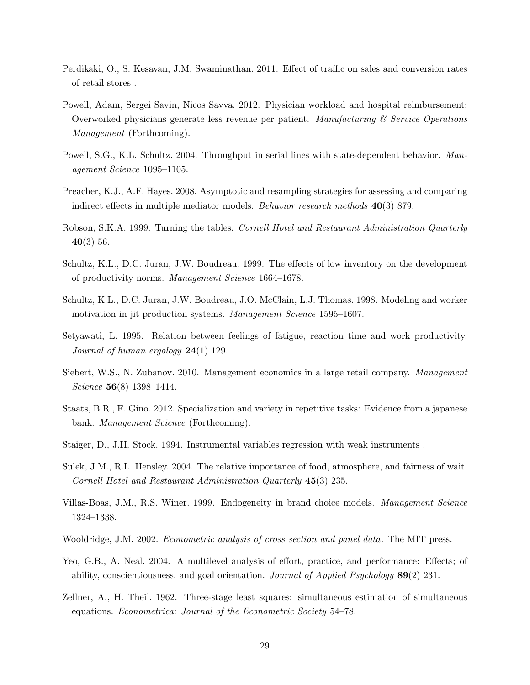- Perdikaki, O., S. Kesavan, J.M. Swaminathan. 2011. Effect of traffic on sales and conversion rates of retail stores .
- Powell, Adam, Sergei Savin, Nicos Savva. 2012. Physician workload and hospital reimbursement: Overworked physicians generate less revenue per patient. Manufacturing  $\mathscr C$  Service Operations Management (Forthcoming).
- Powell, S.G., K.L. Schultz. 2004. Throughput in serial lines with state-dependent behavior. Management Science 1095–1105.
- Preacher, K.J., A.F. Hayes. 2008. Asymptotic and resampling strategies for assessing and comparing indirect effects in multiple mediator models. Behavior research methods 40(3) 879.
- Robson, S.K.A. 1999. Turning the tables. Cornell Hotel and Restaurant Administration Quarterly 40(3) 56.
- Schultz, K.L., D.C. Juran, J.W. Boudreau. 1999. The effects of low inventory on the development of productivity norms. Management Science 1664–1678.
- Schultz, K.L., D.C. Juran, J.W. Boudreau, J.O. McClain, L.J. Thomas. 1998. Modeling and worker motivation in jit production systems. Management Science 1595–1607.
- Setyawati, L. 1995. Relation between feelings of fatigue, reaction time and work productivity. Journal of human ergology  $24(1)$  129.
- Siebert, W.S., N. Zubanov. 2010. Management economics in a large retail company. Management Science **56**(8) 1398-1414.
- Staats, B.R., F. Gino. 2012. Specialization and variety in repetitive tasks: Evidence from a japanese bank. Management Science (Forthcoming).
- Staiger, D., J.H. Stock. 1994. Instrumental variables regression with weak instruments .
- Sulek, J.M., R.L. Hensley. 2004. The relative importance of food, atmosphere, and fairness of wait. Cornell Hotel and Restaurant Administration Quarterly 45(3) 235.
- Villas-Boas, J.M., R.S. Winer. 1999. Endogeneity in brand choice models. Management Science 1324–1338.
- Wooldridge, J.M. 2002. Econometric analysis of cross section and panel data. The MIT press.
- Yeo, G.B., A. Neal. 2004. A multilevel analysis of effort, practice, and performance: Effects; of ability, conscientiousness, and goal orientation. Journal of Applied Psychology 89(2) 231.
- Zellner, A., H. Theil. 1962. Three-stage least squares: simultaneous estimation of simultaneous equations. Econometrica: Journal of the Econometric Society 54–78.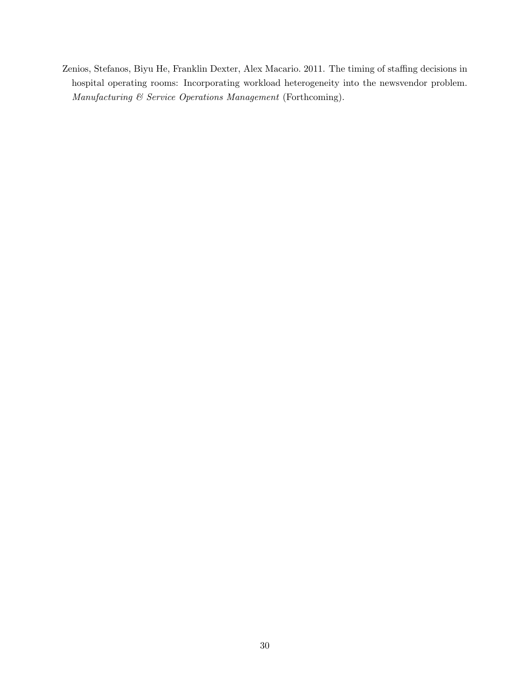Zenios, Stefanos, Biyu He, Franklin Dexter, Alex Macario. 2011. The timing of staffing decisions in hospital operating rooms: Incorporating workload heterogeneity into the newsvendor problem. Manufacturing & Service Operations Management (Forthcoming).